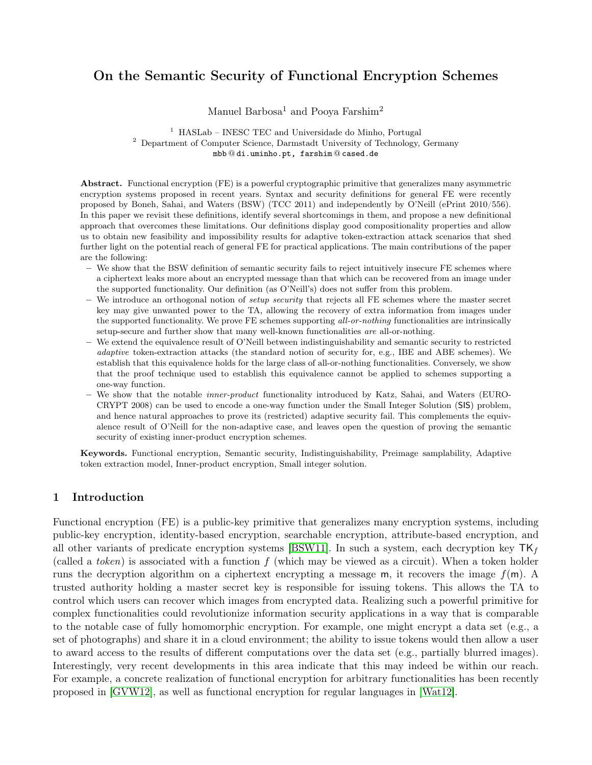# <span id="page-0-0"></span>On the Semantic Security of Functional Encryption Schemes

Manuel Barbosa<sup>1</sup> and Pooya Farshim<sup>2</sup>

 $1$  HASLab – INESC TEC and Universidade do Minho, Portugal <sup>2</sup> Department of Computer Science, Darmstadt University of Technology, Germany mbb @ di.uminho.pt, farshim @ cased.de

Abstract. Functional encryption (FE) is a powerful cryptographic primitive that generalizes many asymmetric encryption systems proposed in recent years. Syntax and security definitions for general FE were recently proposed by Boneh, Sahai, and Waters (BSW) (TCC 2011) and independently by O'Neill (ePrint 2010/556). In this paper we revisit these definitions, identify several shortcomings in them, and propose a new definitional approach that overcomes these limitations. Our definitions display good compositionality properties and allow us to obtain new feasibility and impossibility results for adaptive token-extraction attack scenarios that shed further light on the potential reach of general FE for practical applications. The main contributions of the paper are the following:

- We show that the BSW definition of semantic security fails to reject intuitively insecure FE schemes where a ciphertext leaks more about an encrypted message than that which can be recovered from an image under the supported functionality. Our definition (as O'Neill's) does not suffer from this problem.
- We introduce an orthogonal notion of setup security that rejects all FE schemes where the master secret key may give unwanted power to the TA, allowing the recovery of extra information from images under the supported functionality. We prove FE schemes supporting all-or-nothing functionalities are intrinsically setup-secure and further show that many well-known functionalities are all-or-nothing.
- We extend the equivalence result of O'Neill between indistinguishability and semantic security to restricted adaptive token-extraction attacks (the standard notion of security for, e.g., IBE and ABE schemes). We establish that this equivalence holds for the large class of all-or-nothing functionalities. Conversely, we show that the proof technique used to establish this equivalence cannot be applied to schemes supporting a one-way function.
- We show that the notable inner-product functionality introduced by Katz, Sahai, and Waters (EURO-CRYPT 2008) can be used to encode a one-way function under the Small Integer Solution (SIS) problem, and hence natural approaches to prove its (restricted) adaptive security fail. This complements the equivalence result of O'Neill for the non-adaptive case, and leaves open the question of proving the semantic security of existing inner-product encryption schemes.

Keywords. Functional encryption, Semantic security, Indistinguishability, Preimage samplability, Adaptive token extraction model, Inner-product encryption, Small integer solution.

# 1 Introduction

Functional encryption (FE) is a public-key primitive that generalizes many encryption systems, including public-key encryption, identity-based encryption, searchable encryption, attribute-based encryption, and all other variants of predicate encryption systems [\[BSW11\]](#page-23-0). In such a system, each decryption key  $TK_f$ (called a *token*) is associated with a function  $f$  (which may be viewed as a circuit). When a token holder runs the decryption algorithm on a ciphertext encrypting a message m, it recovers the image  $f(m)$ . A trusted authority holding a master secret key is responsible for issuing tokens. This allows the TA to control which users can recover which images from encrypted data. Realizing such a powerful primitive for complex functionalities could revolutionize information security applications in a way that is comparable to the notable case of fully homomorphic encryption. For example, one might encrypt a data set (e.g., a set of photographs) and share it in a cloud environment; the ability to issue tokens would then allow a user to award access to the results of different computations over the data set (e.g., partially blurred images). Interestingly, very recent developments in this area indicate that this may indeed be within our reach. For example, a concrete realization of functional encryption for arbitrary functionalities has been recently proposed in [\[GVW12\]](#page-23-1), as well as functional encryption for regular languages in [\[Wat12\]](#page-23-2).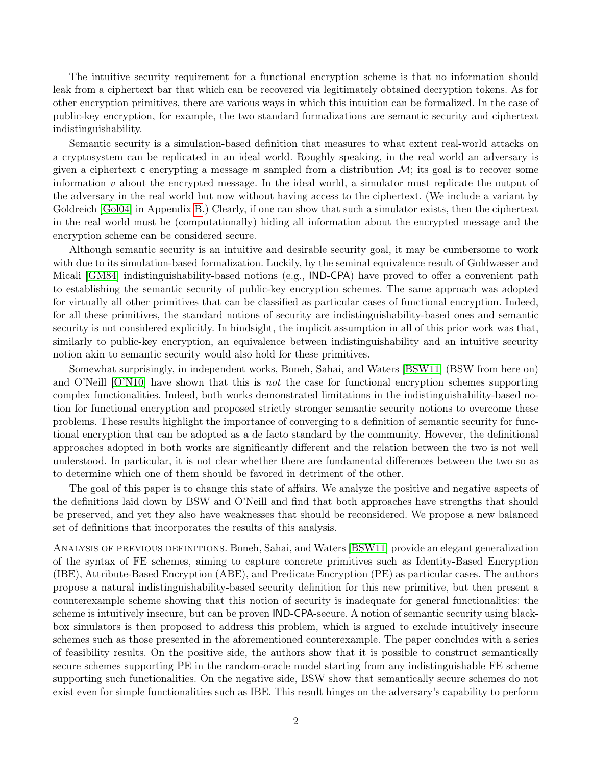<span id="page-1-0"></span>The intuitive security requirement for a functional encryption scheme is that no information should leak from a ciphertext bar that which can be recovered via legitimately obtained decryption tokens. As for other encryption primitives, there are various ways in which this intuition can be formalized. In the case of public-key encryption, for example, the two standard formalizations are semantic security and ciphertext indistinguishability.

Semantic security is a simulation-based definition that measures to what extent real-world attacks on a cryptosystem can be replicated in an ideal world. Roughly speaking, in the real world an adversary is given a ciphertext c encrypting a message m sampled from a distribution  $\mathcal{M}$ ; its goal is to recover some information  $v$  about the encrypted message. In the ideal world, a simulator must replicate the output of the adversary in the real world but now without having access to the ciphertext. (We include a variant by Goldreich [\[Gol04\]](#page-23-3) in Appendix [B.](#page-24-0)) Clearly, if one can show that such a simulator exists, then the ciphertext in the real world must be (computationally) hiding all information about the encrypted message and the encryption scheme can be considered secure.

Although semantic security is an intuitive and desirable security goal, it may be cumbersome to work with due to its simulation-based formalization. Luckily, by the seminal equivalence result of Goldwasser and Micali [\[GM84\]](#page-23-4) indistinguishability-based notions (e.g., IND-CPA) have proved to offer a convenient path to establishing the semantic security of public-key encryption schemes. The same approach was adopted for virtually all other primitives that can be classified as particular cases of functional encryption. Indeed, for all these primitives, the standard notions of security are indistinguishability-based ones and semantic security is not considered explicitly. In hindsight, the implicit assumption in all of this prior work was that, similarly to public-key encryption, an equivalence between indistinguishability and an intuitive security notion akin to semantic security would also hold for these primitives.

Somewhat surprisingly, in independent works, Boneh, Sahai, and Waters [\[BSW11\]](#page-23-0) (BSW from here on) and O'Neill [\[O'N10\]](#page-23-5) have shown that this is not the case for functional encryption schemes supporting complex functionalities. Indeed, both works demonstrated limitations in the indistinguishability-based notion for functional encryption and proposed strictly stronger semantic security notions to overcome these problems. These results highlight the importance of converging to a definition of semantic security for functional encryption that can be adopted as a de facto standard by the community. However, the definitional approaches adopted in both works are significantly different and the relation between the two is not well understood. In particular, it is not clear whether there are fundamental differences between the two so as to determine which one of them should be favored in detriment of the other.

The goal of this paper is to change this state of affairs. We analyze the positive and negative aspects of the definitions laid down by BSW and O'Neill and find that both approaches have strengths that should be preserved, and yet they also have weaknesses that should be reconsidered. We propose a new balanced set of definitions that incorporates the results of this analysis.

Analysis of previous definitions. Boneh, Sahai, and Waters [\[BSW11\]](#page-23-0) provide an elegant generalization of the syntax of FE schemes, aiming to capture concrete primitives such as Identity-Based Encryption (IBE), Attribute-Based Encryption (ABE), and Predicate Encryption (PE) as particular cases. The authors propose a natural indistinguishability-based security definition for this new primitive, but then present a counterexample scheme showing that this notion of security is inadequate for general functionalities: the scheme is intuitively insecure, but can be proven IND-CPA-secure. A notion of semantic security using blackbox simulators is then proposed to address this problem, which is argued to exclude intuitively insecure schemes such as those presented in the aforementioned counterexample. The paper concludes with a series of feasibility results. On the positive side, the authors show that it is possible to construct semantically secure schemes supporting PE in the random-oracle model starting from any indistinguishable FE scheme supporting such functionalities. On the negative side, BSW show that semantically secure schemes do not exist even for simple functionalities such as IBE. This result hinges on the adversary's capability to perform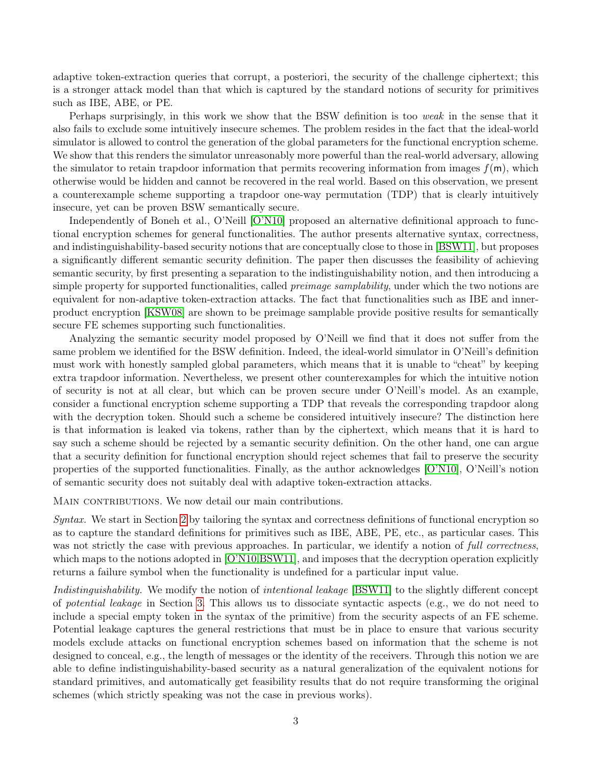<span id="page-2-0"></span>adaptive token-extraction queries that corrupt, a posteriori, the security of the challenge ciphertext; this is a stronger attack model than that which is captured by the standard notions of security for primitives such as IBE, ABE, or PE.

Perhaps surprisingly, in this work we show that the BSW definition is too weak in the sense that it also fails to exclude some intuitively insecure schemes. The problem resides in the fact that the ideal-world simulator is allowed to control the generation of the global parameters for the functional encryption scheme. We show that this renders the simulator unreasonably more powerful than the real-world adversary, allowing the simulator to retain trapdoor information that permits recovering information from images  $f(m)$ , which otherwise would be hidden and cannot be recovered in the real world. Based on this observation, we present a counterexample scheme supporting a trapdoor one-way permutation (TDP) that is clearly intuitively insecure, yet can be proven BSW semantically secure.

Independently of Boneh et al., O'Neill [\[O'N10\]](#page-23-5) proposed an alternative definitional approach to functional encryption schemes for general functionalities. The author presents alternative syntax, correctness, and indistinguishability-based security notions that are conceptually close to those in [\[BSW11\]](#page-23-0), but proposes a significantly different semantic security definition. The paper then discusses the feasibility of achieving semantic security, by first presenting a separation to the indistinguishability notion, and then introducing a simple property for supported functionalities, called *preimage samplability*, under which the two notions are equivalent for non-adaptive token-extraction attacks. The fact that functionalities such as IBE and innerproduct encryption [\[KSW08\]](#page-23-6) are shown to be preimage samplable provide positive results for semantically secure FE schemes supporting such functionalities.

Analyzing the semantic security model proposed by O'Neill we find that it does not suffer from the same problem we identified for the BSW definition. Indeed, the ideal-world simulator in O'Neill's definition must work with honestly sampled global parameters, which means that it is unable to "cheat" by keeping extra trapdoor information. Nevertheless, we present other counterexamples for which the intuitive notion of security is not at all clear, but which can be proven secure under O'Neill's model. As an example, consider a functional encryption scheme supporting a TDP that reveals the corresponding trapdoor along with the decryption token. Should such a scheme be considered intuitively insecure? The distinction here is that information is leaked via tokens, rather than by the ciphertext, which means that it is hard to say such a scheme should be rejected by a semantic security definition. On the other hand, one can argue that a security definition for functional encryption should reject schemes that fail to preserve the security properties of the supported functionalities. Finally, as the author acknowledges [\[O'N10\]](#page-23-5), O'Neill's notion of semantic security does not suitably deal with adaptive token-extraction attacks.

Main contributions. We now detail our main contributions.

Syntax. We start in Section [2](#page-4-0) by tailoring the syntax and correctness definitions of functional encryption so as to capture the standard definitions for primitives such as IBE, ABE, PE, etc., as particular cases. This was not strictly the case with previous approaches. In particular, we identify a notion of full correctness, which maps to the notions adopted in [\[O'N10](#page-23-5)[,BSW11\]](#page-23-0), and imposes that the decryption operation explicitly returns a failure symbol when the functionality is undefined for a particular input value.

Indistinguishability. We modify the notion of intentional leakage [\[BSW11\]](#page-23-0) to the slightly different concept of potential leakage in Section [3.](#page-6-0) This allows us to dissociate syntactic aspects (e.g., we do not need to include a special empty token in the syntax of the primitive) from the security aspects of an FE scheme. Potential leakage captures the general restrictions that must be in place to ensure that various security models exclude attacks on functional encryption schemes based on information that the scheme is not designed to conceal, e.g., the length of messages or the identity of the receivers. Through this notion we are able to define indistinguishability-based security as a natural generalization of the equivalent notions for standard primitives, and automatically get feasibility results that do not require transforming the original schemes (which strictly speaking was not the case in previous works).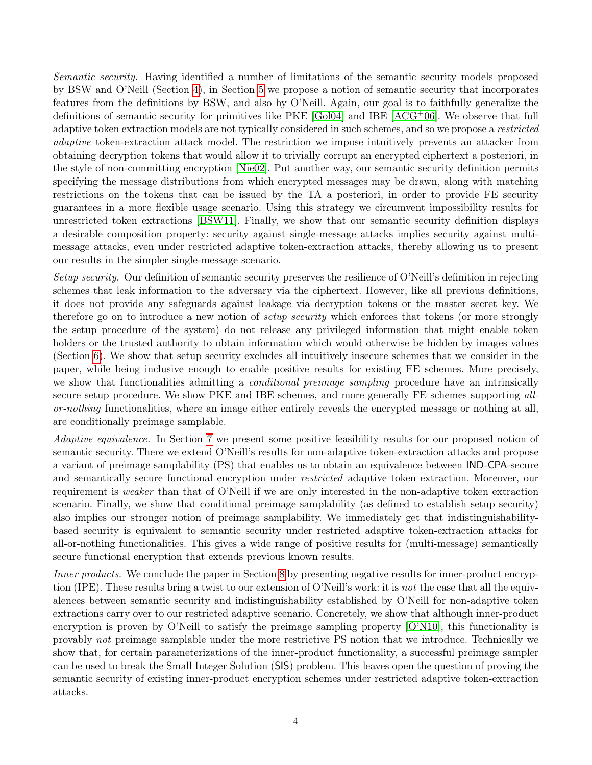<span id="page-3-0"></span>Semantic security. Having identified a number of limitations of the semantic security models proposed by BSW and O'Neill (Section [4\)](#page-8-0), in Section [5](#page-11-0) we propose a notion of semantic security that incorporates features from the definitions by BSW, and also by O'Neill. Again, our goal is to faithfully generalize the definitions of semantic security for primitives like PKE [\[Gol04\]](#page-23-3) and IBE [\[ACG](#page-23-7)+06]. We observe that full adaptive token extraction models are not typically considered in such schemes, and so we propose a *restricted* adaptive token-extraction attack model. The restriction we impose intuitively prevents an attacker from obtaining decryption tokens that would allow it to trivially corrupt an encrypted ciphertext a posteriori, in the style of non-committing encryption [\[Nie02\]](#page-23-8). Put another way, our semantic security definition permits specifying the message distributions from which encrypted messages may be drawn, along with matching restrictions on the tokens that can be issued by the TA a posteriori, in order to provide FE security guarantees in a more flexible usage scenario. Using this strategy we circumvent impossibility results for unrestricted token extractions [\[BSW11\]](#page-23-0). Finally, we show that our semantic security definition displays a desirable composition property: security against single-message attacks implies security against multimessage attacks, even under restricted adaptive token-extraction attacks, thereby allowing us to present our results in the simpler single-message scenario.

Setup security. Our definition of semantic security preserves the resilience of O'Neill's definition in rejecting schemes that leak information to the adversary via the ciphertext. However, like all previous definitions, it does not provide any safeguards against leakage via decryption tokens or the master secret key. We therefore go on to introduce a new notion of *setup security* which enforces that tokens (or more strongly the setup procedure of the system) do not release any privileged information that might enable token holders or the trusted authority to obtain information which would otherwise be hidden by images values (Section [6\)](#page-15-0). We show that setup security excludes all intuitively insecure schemes that we consider in the paper, while being inclusive enough to enable positive results for existing FE schemes. More precisely, we show that functionalities admitting a *conditional preimage sampling* procedure have an intrinsically secure setup procedure. We show PKE and IBE schemes, and more generally FE schemes supporting allor-nothing functionalities, where an image either entirely reveals the encrypted message or nothing at all, are conditionally preimage samplable.

Adaptive equivalence. In Section [7](#page-19-0) we present some positive feasibility results for our proposed notion of semantic security. There we extend O'Neill's results for non-adaptive token-extraction attacks and propose a variant of preimage samplability (PS) that enables us to obtain an equivalence between IND-CPA-secure and semantically secure functional encryption under restricted adaptive token extraction. Moreover, our requirement is weaker than that of O'Neill if we are only interested in the non-adaptive token extraction scenario. Finally, we show that conditional preimage samplability (as defined to establish setup security) also implies our stronger notion of preimage samplability. We immediately get that indistinguishabilitybased security is equivalent to semantic security under restricted adaptive token-extraction attacks for all-or-nothing functionalities. This gives a wide range of positive results for (multi-message) semantically secure functional encryption that extends previous known results.

Inner products. We conclude the paper in Section [8](#page-21-0) by presenting negative results for inner-product encryption (IPE). These results bring a twist to our extension of O'Neill's work: it is not the case that all the equivalences between semantic security and indistinguishability established by O'Neill for non-adaptive token extractions carry over to our restricted adaptive scenario. Concretely, we show that although inner-product encryption is proven by O'Neill to satisfy the preimage sampling property [\[O'N10\]](#page-23-5), this functionality is provably not preimage samplable under the more restrictive PS notion that we introduce. Technically we show that, for certain parameterizations of the inner-product functionality, a successful preimage sampler can be used to break the Small Integer Solution (SIS) problem. This leaves open the question of proving the semantic security of existing inner-product encryption schemes under restricted adaptive token-extraction attacks.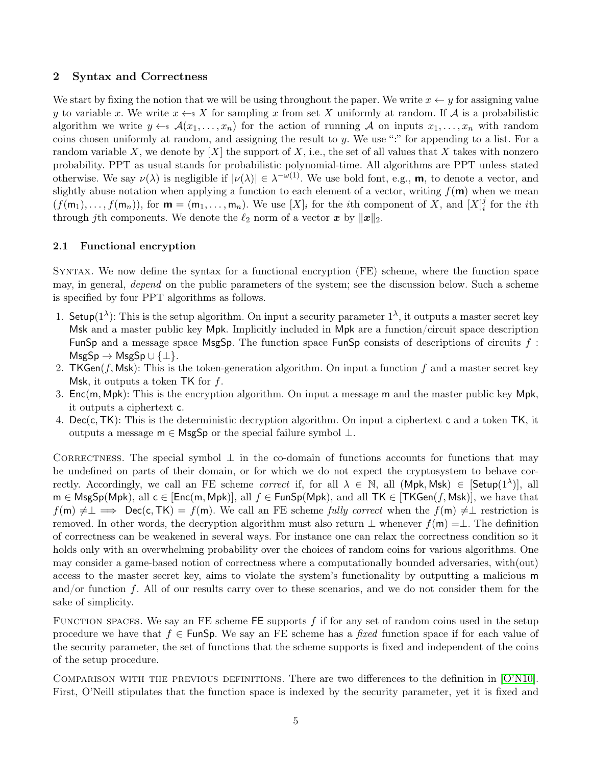## <span id="page-4-1"></span><span id="page-4-0"></span>2 Syntax and Correctness

We start by fixing the notion that we will be using throughout the paper. We write  $x \leftarrow y$  for assigning value y to variable x. We write  $x \leftarrow s X$  for sampling x from set X uniformly at random. If A is a probabilistic algorithm we write  $y \leftarrow s \mathcal{A}(x_1, \ldots, x_n)$  for the action of running A on inputs  $x_1, \ldots, x_n$  with random coins chosen uniformly at random, and assigning the result to y. We use ":" for appending to a list. For a random variable X, we denote by  $[X]$  the support of X, i.e., the set of all values that X takes with nonzero probability. PPT as usual stands for probabilistic polynomial-time. All algorithms are PPT unless stated otherwise. We say  $\nu(\lambda)$  is negligible if  $|\nu(\lambda)| \in \lambda^{-\omega(1)}$ . We use bold font, e.g., **m**, to denote a vector, and slightly abuse notation when applying a function to each element of a vector, writing  $f(\mathbf{m})$  when we mean  $(f(m_1),\ldots,f(m_n))$ , for  $\mathbf{m}=(m_1,\ldots,m_n)$ . We use  $[X]_i$  for the *i*th component of X, and  $[X]_i^j$  $\frac{j}{i}$  for the *i*th through jth components. We denote the  $\ell_2$  norm of a vector x by  $\|\mathbf{x}\|_2$ .

## 2.1 Functional encryption

Syntax. We now define the syntax for a functional encryption (FE) scheme, where the function space may, in general, *depend* on the public parameters of the system; see the discussion below. Such a scheme is specified by four PPT algorithms as follows.

- 1. Setup( $1^{\lambda}$ ): This is the setup algorithm. On input a security parameter  $1^{\lambda}$ , it outputs a master secret key Msk and a master public key Mpk. Implicitly included in Mpk are a function/circuit space description FunSp and a message space MsgSp. The function space FunSp consists of descriptions of circuits  $f$ :  $MsgSp \to MsgSp \cup {\{\perp\}}$ .
- 2. TKGen( $f$ , Msk): This is the token-generation algorithm. On input a function  $f$  and a master secret key Msk, it outputs a token  $TK$  for f.
- 3. Enc(m, Mpk): This is the encryption algorithm. On input a message m and the master public key Mpk, it outputs a ciphertext c.
- 4. Dec(c,  $TK$ ): This is the deterministic decryption algorithm. On input a ciphertext c and a token TK, it outputs a message  $m \in \text{MsgSp}$  or the special failure symbol  $\perp$ .

CORRECTNESS. The special symbol  $\perp$  in the co-domain of functions accounts for functions that may be undefined on parts of their domain, or for which we do not expect the cryptosystem to behave correctly. Accordingly, we call an FE scheme *correct* if, for all  $\lambda \in \mathbb{N}$ , all  $(Mpk, Msk) \in [Setup(1^{\lambda})],$  all  $m \in \text{MsgSp}(\text{Mpk})$ , all  $c \in [\text{Enc}(m, \text{Mpk})]$ , all  $f \in \text{FunSp}(\text{Mpk})$ , and all TK  $\in [\text{TKGen}(f, \text{Msk})]$ , we have that  $f(m) \neq \perp \implies \text{Dec}(c, TK) = f(m)$ . We call an FE scheme fully correct when the  $f(m) \neq \perp$  restriction is removed. In other words, the decryption algorithm must also return  $\perp$  whenever  $f(m) = \perp$ . The definition of correctness can be weakened in several ways. For instance one can relax the correctness condition so it holds only with an overwhelming probability over the choices of random coins for various algorithms. One may consider a game-based notion of correctness where a computationally bounded adversaries, with(out) access to the master secret key, aims to violate the system's functionality by outputting a malicious m and/or function f. All of our results carry over to these scenarios, and we do not consider them for the sake of simplicity.

FUNCTION SPACES. We say an FE scheme FE supports  $f$  if for any set of random coins used in the setup procedure we have that  $f \in \text{FunSp. We say an FE scheme has a *fixed* function space if for each value of$ the security parameter, the set of functions that the scheme supports is fixed and independent of the coins of the setup procedure.

Comparison with the previous definitions. There are two differences to the definition in [\[O'N10\]](#page-23-5). First, O'Neill stipulates that the function space is indexed by the security parameter, yet it is fixed and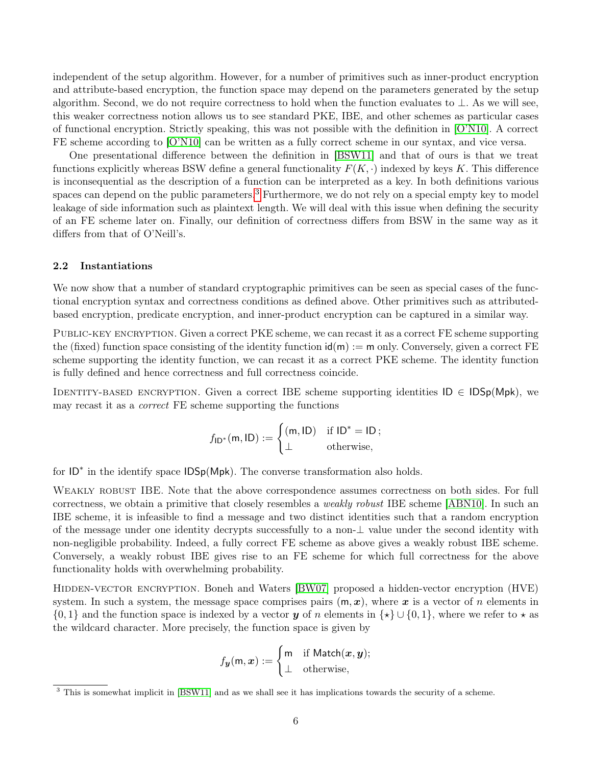<span id="page-5-1"></span>independent of the setup algorithm. However, for a number of primitives such as inner-product encryption and attribute-based encryption, the function space may depend on the parameters generated by the setup algorithm. Second, we do not require correctness to hold when the function evaluates to ⊥. As we will see, this weaker correctness notion allows us to see standard PKE, IBE, and other schemes as particular cases of functional encryption. Strictly speaking, this was not possible with the definition in [\[O'N10\]](#page-23-5). A correct FE scheme according to [\[O'N10\]](#page-23-5) can be written as a fully correct scheme in our syntax, and vice versa.

One presentational difference between the definition in [\[BSW11\]](#page-23-0) and that of ours is that we treat functions explicitly whereas BSW define a general functionality  $F(K, \cdot)$  indexed by keys K. This difference is inconsequential as the description of a function can be interpreted as a key. In both definitions various spaces can depend on the public parameters.<sup>[3](#page-5-0)</sup> Furthermore, we do not rely on a special empty key to model leakage of side information such as plaintext length. We will deal with this issue when defining the security of an FE scheme later on. Finally, our definition of correctness differs from BSW in the same way as it differs from that of O'Neill's.

#### 2.2 Instantiations

We now show that a number of standard cryptographic primitives can be seen as special cases of the functional encryption syntax and correctness conditions as defined above. Other primitives such as attributedbased encryption, predicate encryption, and inner-product encryption can be captured in a similar way.

PUBLIC-KEY ENCRYPTION. Given a correct PKE scheme, we can recast it as a correct FE scheme supporting the (fixed) function space consisting of the identity function  $\mathsf{id}(\mathsf{m}) := \mathsf{m}$  only. Conversely, given a correct FE scheme supporting the identity function, we can recast it as a correct PKE scheme. The identity function is fully defined and hence correctness and full correctness coincide.

IDENTITY-BASED ENCRYPTION. Given a correct IBE scheme supporting identities  $ID \in IDSp(Mpk)$ , we may recast it as a correct FE scheme supporting the functions

$$
f_{ID^*}(m, ID) := \begin{cases} (m, ID) & \text{if } ID^* = ID \, ; \\ \bot & \text{otherwise}, \end{cases}
$$

for ID<sup>\*</sup> in the identify space IDSp(Mpk). The converse transformation also holds.

WEAKLY ROBUST IBE. Note that the above correspondence assumes correctness on both sides. For full correctness, we obtain a primitive that closely resembles a weakly robust IBE scheme [\[ABN10\]](#page-23-9). In such an IBE scheme, it is infeasible to find a message and two distinct identities such that a random encryption of the message under one identity decrypts successfully to a non-⊥ value under the second identity with non-negligible probability. Indeed, a fully correct FE scheme as above gives a weakly robust IBE scheme. Conversely, a weakly robust IBE gives rise to an FE scheme for which full correctness for the above functionality holds with overwhelming probability.

Hidden-vector encryption. Boneh and Waters [\[BW07\]](#page-23-10) proposed a hidden-vector encryption (HVE) system. In such a system, the message space comprises pairs  $(m, x)$ , where x is a vector of n elements in  $\{0,1\}$  and the function space is indexed by a vector y of n elements in  $\{*\}\cup\{0,1\}$ , where we refer to  $\star$  as the wildcard character. More precisely, the function space is given by

$$
f_{\boldsymbol{y}}(\mathsf{m}, {\boldsymbol{x}}) := \begin{cases} \mathsf{m} & \text{if } \mathsf{Match}({\boldsymbol{x}},{\boldsymbol{y}}); \\ \bot & \text{otherwise}, \end{cases}
$$

<span id="page-5-0"></span><sup>&</sup>lt;sup>3</sup> This is somewhat implicit in [\[BSW11\]](#page-23-0) and as we shall see it has implications towards the security of a scheme.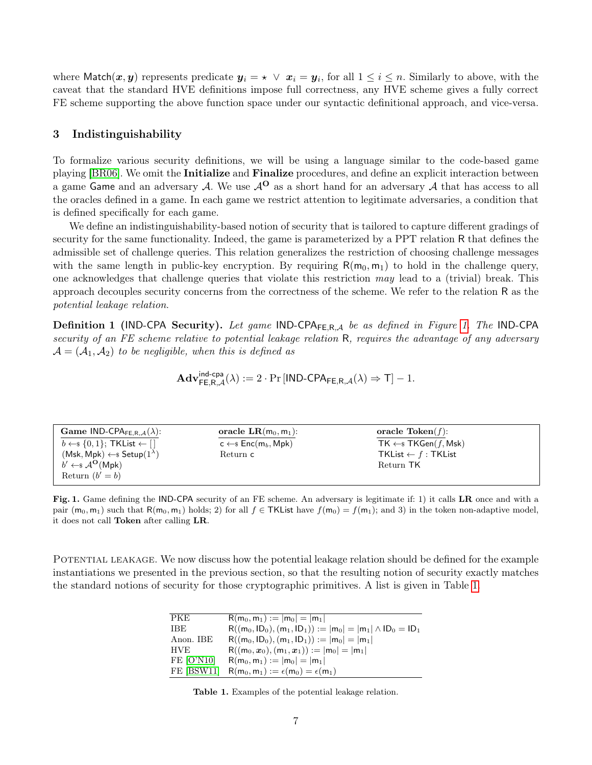<span id="page-6-3"></span>where  $\mathsf{Match}(\bm{x},\bm{y})$  represents predicate  $\bm{y}_i = \star \; \lor \; \bm{x}_i = \bm{y}_i,$  for all  $1 \leq i \leq n.$  Similarly to above, with the caveat that the standard HVE definitions impose full correctness, any HVE scheme gives a fully correct FE scheme supporting the above function space under our syntactic definitional approach, and vice-versa.

#### <span id="page-6-0"></span>3 Indistinguishability

To formalize various security definitions, we will be using a language similar to the code-based game playing [\[BR06\]](#page-23-11). We omit the **Initialize** and **Finalize** procedures, and define an explicit interaction between a game Game and an adversary A. We use  $A^{O}$  as a short hand for an adversary A that has access to all the oracles defined in a game. In each game we restrict attention to legitimate adversaries, a condition that is defined specifically for each game.

We define an indistinguishability-based notion of security that is tailored to capture different gradings of security for the same functionality. Indeed, the game is parameterized by a PPT relation R that defines the admissible set of challenge queries. This relation generalizes the restriction of choosing challenge messages with the same length in public-key encryption. By requiring  $R(m_0, m_1)$  to hold in the challenge query, one acknowledges that challenge queries that violate this restriction may lead to a (trivial) break. This approach decouples security concerns from the correctness of the scheme. We refer to the relation R as the potential leakage relation.

**Definition 1** (IND-CPA Security). Let game IND-CPA<sub>FE,R,A</sub> be as defined in Figure [1.](#page-6-1) The IND-CPA security of an FE scheme relative to potential leakage relation R, requires the advantage of any adversary  $\mathcal{A} = (\mathcal{A}_1, \mathcal{A}_2)$  to be negligible, when this is defined as

$$
\mathbf{Adv}_{\mathsf{FE},\mathsf{R},\mathcal{A}}^{\mathsf{ind-cpa}}(\lambda) := 2 \cdot \Pr\left[\mathsf{IND}\text{-}\mathsf{CPA}_{\mathsf{FE},\mathsf{R},\mathcal{A}}(\lambda) \Rightarrow \mathsf{T}\right] - 1.
$$

| <b>Game IND-CPA</b> <sub>FE.R.A</sub> ( $\lambda$ ):     | oracle $LR(m_0, m_1)$ :                          | oracle $\textbf{Token}(f)$ :    |  |
|----------------------------------------------------------|--------------------------------------------------|---------------------------------|--|
| $b \leftarrow \{0,1\};$ TKList $\leftarrow [$            | $c \leftarrow s \mathsf{Enc}(m_b, \mathsf{Mpk})$ | $TK \leftarrow s$ TKGen(f, Msk) |  |
| $(Msk, Mpk) \leftarrow$ Setup $(1^{\lambda})$            | Return c                                         | $TKList \leftarrow f : TKList$  |  |
| $b' \leftarrow s \mathcal{A}^{\mathbf{O}}(\mathsf{Mpk})$ |                                                  | Return TK                       |  |
| Return $(b' = b)$                                        |                                                  |                                 |  |

<span id="page-6-1"></span>Fig. 1. Game defining the IND-CPA security of an FE scheme. An adversary is legitimate if: 1) it calls LR once and with a pair  $(m_0, m_1)$  such that R $(m_0, m_1)$  holds; 2) for all  $f \in \mathsf{TKList}$  have  $f(m_0) = f(m_1)$ ; and 3) in the token non-adaptive model, it does not call Token after calling LR.

POTENTIAL LEAKAGE. We now discuss how the potential leakage relation should be defined for the example instantiations we presented in the previous section, so that the resulting notion of security exactly matches the standard notions of security for those cryptographic primitives. A list is given in Table [1.](#page-6-2)

| <b>PKE</b>   | $R(m_0, m_1) :=  m_0  =  m_1 $                                    |
|--------------|-------------------------------------------------------------------|
|              |                                                                   |
| IBE.         | $R((m_0, ID_0), (m_1, ID_1)) :=  m_0  =  m_1  \wedge ID_0 = ID_1$ |
| Anon. IBE    | $R((m_0, ID_0), (m_1, ID_1)) :=  m_0  =  m_1 $                    |
| <b>HVE</b>   | $R((m_0, x_0), (m_1, x_1)) :=  m_0  =  m_1 $                      |
| $FE$ [O'N10] | $R(m_0, m_1) :=  m_0  =  m_1 $                                    |
| FE [BSW11]   | $R(m_0, m_1) := \epsilon(m_0) = \epsilon(m_1)$                    |

<span id="page-6-2"></span>Table 1. Examples of the potential leakage relation.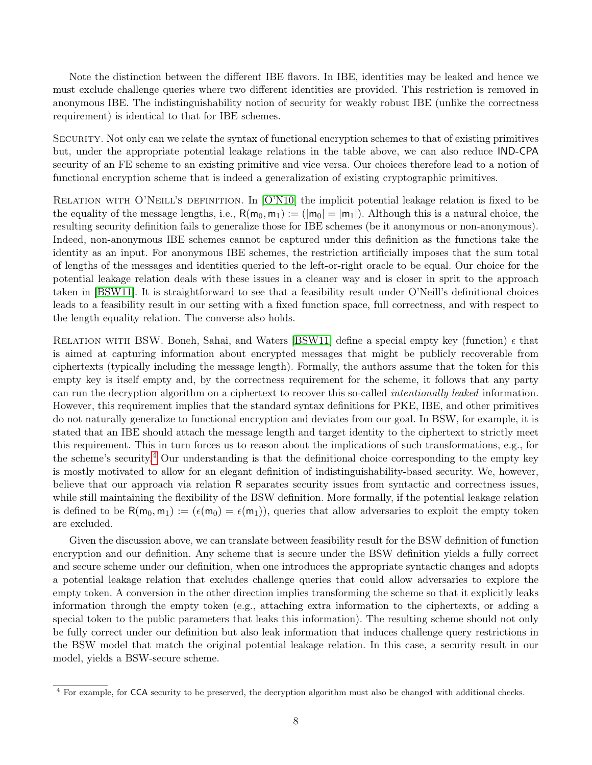<span id="page-7-1"></span>Note the distinction between the different IBE flavors. In IBE, identities may be leaked and hence we must exclude challenge queries where two different identities are provided. This restriction is removed in anonymous IBE. The indistinguishability notion of security for weakly robust IBE (unlike the correctness requirement) is identical to that for IBE schemes.

SECURITY. Not only can we relate the syntax of functional encryption schemes to that of existing primitives but, under the appropriate potential leakage relations in the table above, we can also reduce IND-CPA security of an FE scheme to an existing primitive and vice versa. Our choices therefore lead to a notion of functional encryption scheme that is indeed a generalization of existing cryptographic primitives.

RELATION WITH O'NEILL'S DEFINITION. In [\[O'N10\]](#page-23-5) the implicit potential leakage relation is fixed to be the equality of the message lengths, i.e.,  $R(m_0, m_1) := (m_0| = |m_1|)$ . Although this is a natural choice, the resulting security definition fails to generalize those for IBE schemes (be it anonymous or non-anonymous). Indeed, non-anonymous IBE schemes cannot be captured under this definition as the functions take the identity as an input. For anonymous IBE schemes, the restriction artificially imposes that the sum total of lengths of the messages and identities queried to the left-or-right oracle to be equal. Our choice for the potential leakage relation deals with these issues in a cleaner way and is closer in sprit to the approach taken in [\[BSW11\]](#page-23-0). It is straightforward to see that a feasibility result under O'Neill's definitional choices leads to a feasibility result in our setting with a fixed function space, full correctness, and with respect to the length equality relation. The converse also holds.

RELATION WITH BSW. Boneh, Sahai, and Waters [\[BSW11\]](#page-23-0) define a special empty key (function)  $\epsilon$  that is aimed at capturing information about encrypted messages that might be publicly recoverable from ciphertexts (typically including the message length). Formally, the authors assume that the token for this empty key is itself empty and, by the correctness requirement for the scheme, it follows that any party can run the decryption algorithm on a ciphertext to recover this so-called intentionally leaked information. However, this requirement implies that the standard syntax definitions for PKE, IBE, and other primitives do not naturally generalize to functional encryption and deviates from our goal. In BSW, for example, it is stated that an IBE should attach the message length and target identity to the ciphertext to strictly meet this requirement. This in turn forces us to reason about the implications of such transformations, e.g., for the scheme's security.<sup>[4](#page-7-0)</sup> Our understanding is that the definitional choice corresponding to the empty key is mostly motivated to allow for an elegant definition of indistinguishability-based security. We, however, believe that our approach via relation R separates security issues from syntactic and correctness issues, while still maintaining the flexibility of the BSW definition. More formally, if the potential leakage relation is defined to be  $R(m_0, m_1) := (\epsilon(m_0) = \epsilon(m_1))$ , queries that allow adversaries to exploit the empty token are excluded.

Given the discussion above, we can translate between feasibility result for the BSW definition of function encryption and our definition. Any scheme that is secure under the BSW definition yields a fully correct and secure scheme under our definition, when one introduces the appropriate syntactic changes and adopts a potential leakage relation that excludes challenge queries that could allow adversaries to explore the empty token. A conversion in the other direction implies transforming the scheme so that it explicitly leaks information through the empty token (e.g., attaching extra information to the ciphertexts, or adding a special token to the public parameters that leaks this information). The resulting scheme should not only be fully correct under our definition but also leak information that induces challenge query restrictions in the BSW model that match the original potential leakage relation. In this case, a security result in our model, yields a BSW-secure scheme.

<span id="page-7-0"></span><sup>&</sup>lt;sup>4</sup> For example, for CCA security to be preserved, the decryption algorithm must also be changed with additional checks.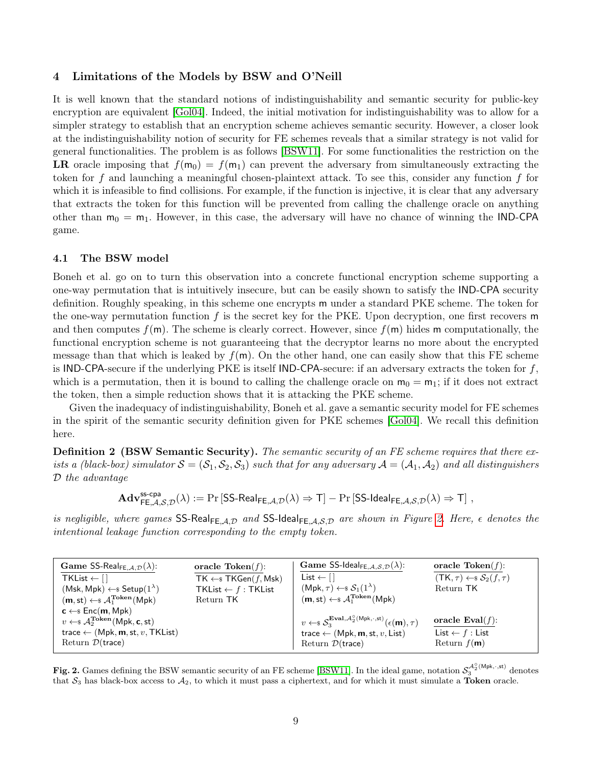#### <span id="page-8-3"></span><span id="page-8-0"></span>4 Limitations of the Models by BSW and O'Neill

It is well known that the standard notions of indistinguishability and semantic security for public-key encryption are equivalent [\[Gol04\]](#page-23-3). Indeed, the initial motivation for indistinguishability was to allow for a simpler strategy to establish that an encryption scheme achieves semantic security. However, a closer look at the indistinguishability notion of security for FE schemes reveals that a similar strategy is not valid for general functionalities. The problem is as follows [\[BSW11\]](#page-23-0). For some functionalities the restriction on the **LR** oracle imposing that  $f(m_0) = f(m_1)$  can prevent the adversary from simultaneously extracting the token for f and launching a meaningful chosen-plaintext attack. To see this, consider any function f for which it is infeasible to find collisions. For example, if the function is injective, it is clear that any adversary that extracts the token for this function will be prevented from calling the challenge oracle on anything other than  $m_0 = m_1$ . However, in this case, the adversary will have no chance of winning the IND-CPA game.

#### <span id="page-8-2"></span>4.1 The BSW model

Boneh et al. go on to turn this observation into a concrete functional encryption scheme supporting a one-way permutation that is intuitively insecure, but can be easily shown to satisfy the IND-CPA security definition. Roughly speaking, in this scheme one encrypts m under a standard PKE scheme. The token for the one-way permutation function f is the secret key for the PKE. Upon decryption, one first recovers  $m$ and then computes  $f(m)$ . The scheme is clearly correct. However, since  $f(m)$  hides m computationally, the functional encryption scheme is not guaranteeing that the decryptor learns no more about the encrypted message than that which is leaked by  $f(m)$ . On the other hand, one can easily show that this FE scheme is IND-CPA-secure if the underlying PKE is itself IND-CPA-secure: if an adversary extracts the token for  $f$ , which is a permutation, then it is bound to calling the challenge oracle on  $m_0 = m_1$ ; if it does not extract the token, then a simple reduction shows that it is attacking the PKE scheme.

Given the inadequacy of indistinguishability, Boneh et al. gave a semantic security model for FE schemes in the spirit of the semantic security definition given for PKE schemes [\[Gol04\]](#page-23-3). We recall this definition here.

Definition 2 (BSW Semantic Security). The semantic security of an FE scheme requires that there exists a (black-box) simulator  $S = (S_1, S_2, S_3)$  such that for any adversary  $\mathcal{A} = (\mathcal{A}_1, \mathcal{A}_2)$  and all distinguishers D the advantage

$$
\mathbf{Adv}^{\mathsf{ss-cpa}}_{\mathsf{FE},\mathcal{A},\mathcal{S},\mathcal{D}}(\lambda) := \Pr\left[\mathsf{SS}\text{-}\mathsf{Real}_{\mathsf{FE},\mathcal{A},\mathcal{D}}(\lambda) \Rightarrow \mathsf{T}\right] - \Pr\left[\mathsf{SS}\text{-}\mathsf{Ideal}_{\mathsf{FE},\mathcal{A},\mathcal{S},\mathcal{D}}(\lambda) \Rightarrow \mathsf{T}\right]\,,
$$

is negligible, where games SS-Real<sub>FE,A,D</sub> and SS-Ideal<sub>FE,A,S,D</sub> are shown in Figure [2.](#page-8-1) Here,  $\epsilon$  denotes the intentional leakage function corresponding to the empty token.

| <b>Game SS-Real</b> FE, $A, D(\lambda)$ :                                    | oracle $\textbf{Token}(f)$ :                     | <b>Game SS-Ideal</b> FE, $A, S, D(\lambda)$ :                                                                               | oracle Token $(f)$ :                         |
|------------------------------------------------------------------------------|--------------------------------------------------|-----------------------------------------------------------------------------------------------------------------------------|----------------------------------------------|
| $TKList \leftarrow$ [                                                        | $TK \leftarrow$ TKGen $(f, Msk)$                 | List $\leftarrow \lceil \rceil$                                                                                             | $(TK,\tau) \leftarrow \mathcal{S}_2(f,\tau)$ |
| $(Msk, Mpk) \leftarrow s$ Setup $(1^{\lambda})$                              | $\mathsf{TKList} \leftarrow f : \mathsf{TKList}$ | $(Mpk, \tau) \leftarrow s S_1(1^{\lambda})$                                                                                 | Return TK                                    |
| $(m, st) \leftarrow \mathcal{A}_1^{\text{Token}}(Mpk)$                       | Return TK                                        | $(m, st) \leftarrow \mathcal{A}_1^{\textbf{Token}}(Mpk)$                                                                    |                                              |
| $\mathbf{c} \leftarrow \mathbf{s}$ Enc(m, Mpk)                               |                                                  |                                                                                                                             |                                              |
| $v \leftarrow \mathcal{A}_2^{\text{Token}}(\text{Mpk}, \text{c}, \text{st})$ |                                                  | $v \leftarrow \mathcal{S}_3^{\text{Eval}, \mathcal{A}_2^{\circ}(\text{Mpk}, \cdot, \text{st})}(\epsilon(\mathbf{m}), \tau)$ | oracle $\text{Eval}(f)$ :                    |
| trace $\leftarrow$ (Mpk, m, st, v, TKList)                                   |                                                  | trace $\leftarrow$ (Mpk, m, st, v, List)                                                                                    | List $\leftarrow f$ : List                   |
| Return $\mathcal{D}$ (trace)                                                 |                                                  | Return $\mathcal{D}$ (trace)                                                                                                | Return $f(\mathbf{m})$                       |

<span id="page-8-1"></span>Fig. 2. Games defining the BSW semantic security of an FE scheme [\[BSW11\]](#page-23-0). In the ideal game, notation  $S_3^{\mathcal{A}^{\circ}_{2}(\mathsf{Mpk},\cdot,\mathsf{st})}$  denotes that  $S_3$  has black-box access to  $A_2$ , to which it must pass a ciphertext, and for which it must simulate a Token oracle.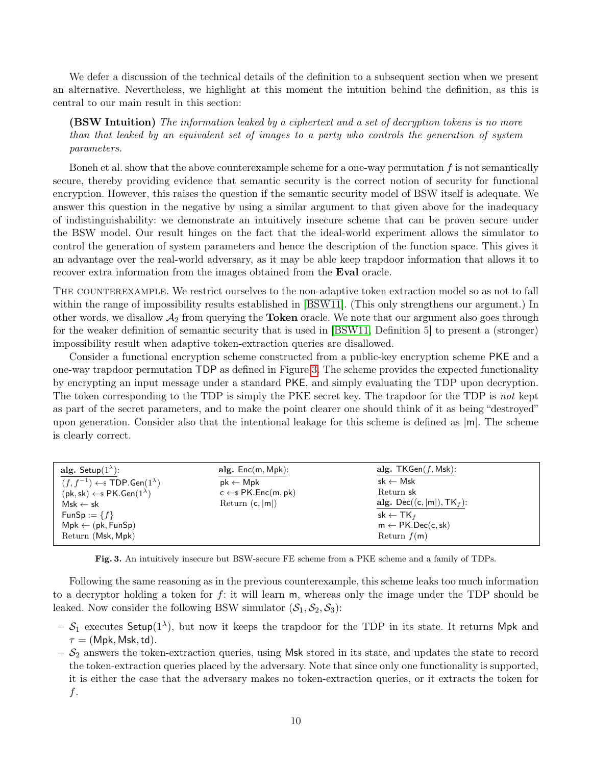<span id="page-9-1"></span>We defer a discussion of the technical details of the definition to a subsequent section when we present an alternative. Nevertheless, we highlight at this moment the intuition behind the definition, as this is central to our main result in this section:

(BSW Intuition) The information leaked by a ciphertext and a set of decryption tokens is no more than that leaked by an equivalent set of images to a party who controls the generation of system parameters.

Boneh et al. show that the above counterexample scheme for a one-way permutation  $f$  is not semantically secure, thereby providing evidence that semantic security is the correct notion of security for functional encryption. However, this raises the question if the semantic security model of BSW itself is adequate. We answer this question in the negative by using a similar argument to that given above for the inadequacy of indistinguishability: we demonstrate an intuitively insecure scheme that can be proven secure under the BSW model. Our result hinges on the fact that the ideal-world experiment allows the simulator to control the generation of system parameters and hence the description of the function space. This gives it an advantage over the real-world adversary, as it may be able keep trapdoor information that allows it to recover extra information from the images obtained from the **Eval** oracle.

THE COUNTEREXAMPLE. We restrict ourselves to the non-adaptive token extraction model so as not to fall within the range of impossibility results established in [\[BSW11\]](#page-23-0). (This only strengthens our argument.) In other words, we disallow  $\mathcal{A}_2$  from querying the **Token** oracle. We note that our argument also goes through for the weaker definition of semantic security that is used in [\[BSW11,](#page-23-0) Definition 5] to present a (stronger) impossibility result when adaptive token-extraction queries are disallowed.

Consider a functional encryption scheme constructed from a public-key encryption scheme PKE and a one-way trapdoor permutation TDP as defined in Figure [3.](#page-9-0) The scheme provides the expected functionality by encrypting an input message under a standard PKE, and simply evaluating the TDP upon decryption. The token corresponding to the TDP is simply the PKE secret key. The trapdoor for the TDP is not kept as part of the secret parameters, and to make the point clearer one should think of it as being "destroyed" upon generation. Consider also that the intentional leakage for this scheme is defined as  $|m|$ . The scheme is clearly correct.

| alg. Setup $(1^{\lambda})$ :                                                             | alg. $Enc(m, Mpk)$ :            | alg. $TKGen(f, Msk)$ :                   |
|------------------------------------------------------------------------------------------|---------------------------------|------------------------------------------|
| $(f, f^{-1}) \leftarrow \$ \text{TOP.Gen}(1^{\lambda})$                                  | $pk \leftarrow Mpk$             | sk $\leftarrow$ Msk                      |
| $(\mathsf{pk}, \mathsf{sk}) \leftarrow \mathsf{s} \mathsf{PK}.\mathsf{Gen}(1^{\lambda})$ | $c \leftarrow s$ PK. Enc(m, pk) | Return sk                                |
| $M$ sk $\leftarrow$ sk                                                                   | Return $(c,  m )$               | alg. Dec((c, $ m $ ), TK <sub>f</sub> ): |
| $FunSp := \{f\}$                                                                         |                                 | sk $\leftarrow$ TK $_{f}$                |
| $Mpk \leftarrow (pk, FunSp)$                                                             |                                 | $m \leftarrow PK.Dec(c, sk)$             |
| Return (Msk, Mpk)                                                                        |                                 | Return $f(m)$                            |

<span id="page-9-0"></span>Fig. 3. An intuitively insecure but BSW-secure FE scheme from a PKE scheme and a family of TDPs.

Following the same reasoning as in the previous counterexample, this scheme leaks too much information to a decryptor holding a token for  $f$ : it will learn  $m$ , whereas only the image under the TDP should be leaked. Now consider the following BSW simulator  $(S_1, S_2, S_3)$ :

- $-$  S<sub>1</sub> executes Setup(1<sup> $\lambda$ </sup>), but now it keeps the trapdoor for the TDP in its state. It returns Mpk and  $\tau = (Mpk, Msk, td).$
- $S_2$  answers the token-extraction queries, using Msk stored in its state, and updates the state to record the token-extraction queries placed by the adversary. Note that since only one functionality is supported, it is either the case that the adversary makes no token-extraction queries, or it extracts the token for  $f$ .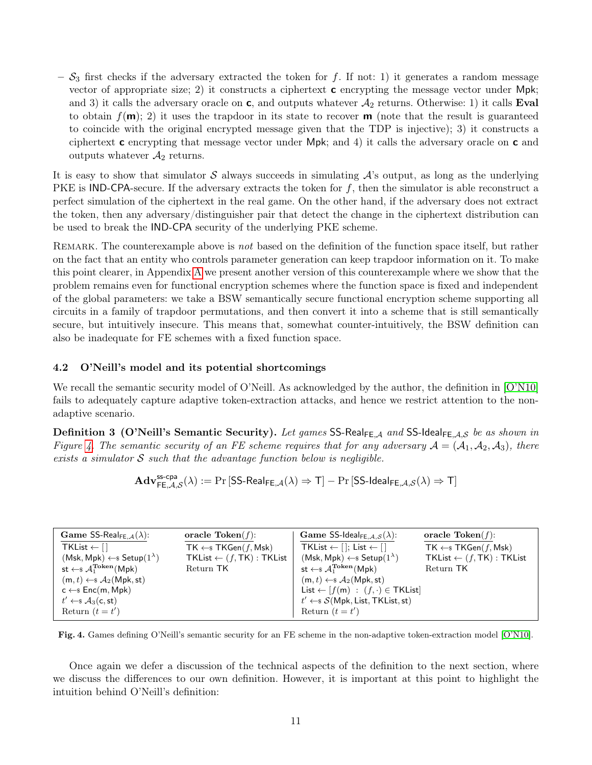<span id="page-10-2"></span> $-\mathcal{S}_3$  first checks if the adversary extracted the token for f. If not: 1) it generates a random message vector of appropriate size; 2) it constructs a ciphertext  $\mathbf c$  encrypting the message vector under Mpk; and 3) it calls the adversary oracle on c, and outputs whatever  $\mathcal{A}_2$  returns. Otherwise: 1) it calls Eval to obtain  $f(\mathbf{m})$ ; 2) it uses the trapdoor in its state to recover  $\mathbf{m}$  (note that the result is guaranteed to coincide with the original encrypted message given that the TDP is injective); 3) it constructs a ciphertext c encrypting that message vector under Mpk; and 4) it calls the adversary oracle on c and outputs whatever  $A_2$  returns.

It is easy to show that simulator S always succeeds in simulating  $\mathcal{A}$ 's output, as long as the underlying PKE is IND-CPA-secure. If the adversary extracts the token for  $f$ , then the simulator is able reconstruct a perfect simulation of the ciphertext in the real game. On the other hand, if the adversary does not extract the token, then any adversary/distinguisher pair that detect the change in the ciphertext distribution can be used to break the IND-CPA security of the underlying PKE scheme.

REMARK. The counterexample above is not based on the definition of the function space itself, but rather on the fact that an entity who controls parameter generation can keep trapdoor information on it. To make this point clearer, in Appendix [A](#page-23-12) we present another version of this counterexample where we show that the problem remains even for functional encryption schemes where the function space is fixed and independent of the global parameters: we take a BSW semantically secure functional encryption scheme supporting all circuits in a family of trapdoor permutations, and then convert it into a scheme that is still semantically secure, but intuitively insecure. This means that, somewhat counter-intuitively, the BSW definition can also be inadequate for FE schemes with a fixed function space.

## <span id="page-10-1"></span>4.2 O'Neill's model and its potential shortcomings

We recall the semantic security model of O'Neill. As acknowledged by the author, the definition in [\[O'N10\]](#page-23-5) fails to adequately capture adaptive token-extraction attacks, and hence we restrict attention to the nonadaptive scenario.

**Definition 3 (O'Neill's Semantic Security).** Let games SS-Real<sub>FE,A</sub> and SS-Ideal<sub>FE,A,S</sub> be as shown in Figure [4.](#page-10-0) The semantic security of an FE scheme requires that for any adversary  $\mathcal{A} = (\mathcal{A}_1, \mathcal{A}_2, \mathcal{A}_3)$ , there exists a simulator  $S$  such that the advantage function below is negligible.

$$
\mathbf{Adv}^{\mathsf{ss-cpa}}_{\mathsf{FE},\mathcal{A},\mathcal{S}}(\lambda) := \Pr\left[\mathsf{SS}\text{-}\mathsf{Real}_{\mathsf{FE},\mathcal{A}}(\lambda) \Rightarrow \mathsf{T}\right] - \Pr\left[\mathsf{SS}\text{-}\mathsf{Ideal}_{\mathsf{FE},\mathcal{A},\mathcal{S}}(\lambda) \Rightarrow \mathsf{T}\right]
$$

| <b>Game SS-Real</b> FE, $\mathcal{A}(\lambda)$ :    | oracle Token $(f)$ :               | <b>Game SS-Ideal</b> FE, $A, S(\lambda)$ :                                               | oracle Token $(f)$ :                 |
|-----------------------------------------------------|------------------------------------|------------------------------------------------------------------------------------------|--------------------------------------|
| $TKList \leftarrow []$                              | $TK \leftarrow$ TKGen $(f, Msk)$   | $TKList \leftarrow [\cdot]; List \leftarrow [\cdot]$                                     | $TK \leftarrow$ TKGen $(f, Msk)$     |
| $(Msk, Mpk) \leftarrow s$ Setup $(1^{\lambda})$     | $TKList \leftarrow (f, TK):TKList$ | $(Msk, Mpk) \leftarrow$ Setup $(1^{\lambda})$                                            | $TKList \leftarrow (f, TK) : TKList$ |
| st $\leftarrow$ $\mathcal{A}_1^{\text{Token}}(Mpk)$ | Return TK                          | st $\leftarrow$ $\mathcal{A}_1^{\text{Token}}(Mpk)$                                      | Return TK                            |
| $(m, t) \leftarrow \mathcal{A}_2(Mpk, st)$          |                                    | $(m, t) \leftarrow \mathcal{A}_2(Mpk, st)$                                               |                                      |
| $c \leftarrow s \mathsf{Enc}(m, \mathsf{Mpk})$      |                                    | List $\leftarrow [f(m) : (f, \cdot) \in \mathsf{TKList}]$                                |                                      |
| $t' \leftarrow \mathcal{A}_3(c, st)$                |                                    | $t' \leftarrow$ $\mathcal{S}(\mathsf{Mpk}, \mathsf{List}, \mathsf{TKList}, \mathsf{st})$ |                                      |
| Return $(t=t')$                                     |                                    | Return $(t=t')$                                                                          |                                      |

<span id="page-10-0"></span>Fig. 4. Games defining O'Neill's semantic security for an FE scheme in the non-adaptive token-extraction model [\[O'N10\]](#page-23-5).

Once again we defer a discussion of the technical aspects of the definition to the next section, where we discuss the differences to our own definition. However, it is important at this point to highlight the intuition behind O'Neill's definition: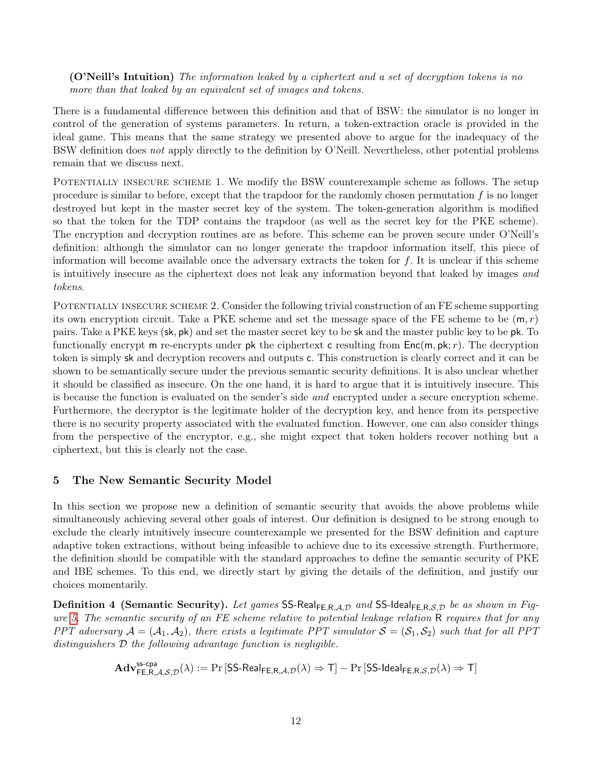(O'Neill's Intuition) The information leaked by a ciphertext and a set of decryption tokens is no more than that leaked by an equivalent set of images and tokens.

There is a fundamental difference between this definition and that of BSW: the simulator is no longer in control of the generation of systems parameters. In return, a token-extraction oracle is provided in the ideal game. This means that the same strategy we presented above to argue for the inadequacy of the BSW definition does not apply directly to the definition by O'Neill. Nevertheless, other potential problems remain that we discuss next.

POTENTIALLY INSECURE SCHEME 1. We modify the BSW counterexample scheme as follows. The setup procedure is similar to before, except that the trapdoor for the randomly chosen permutation  $f$  is no longer destroyed but kept in the master secret key of the system. The token-generation algorithm is modified so that the token for the TDP contains the trapdoor (as well as the secret key for the PKE scheme). The encryption and decryption routines are as before. This scheme can be proven secure under O'Neill's definition: although the simulator can no longer generate the trapdoor information itself, this piece of information will become available once the adversary extracts the token for  $f$ . It is unclear if this scheme is intuitively insecure as the ciphertext does not leak any information beyond that leaked by images and tokens.

Potentially insecure scheme 2. Consider the following trivial construction of an FE scheme supporting its own encryption circuit. Take a PKE scheme and set the message space of the FE scheme to be  $(m, r)$ pairs. Take a PKE keys (sk, pk) and set the master secret key to be sk and the master public key to be pk. To functionally encrypt m re-encrypts under pk the ciphertext c resulting from  $Enc(m, pk; r)$ . The decryption token is simply sk and decryption recovers and outputs c. This construction is clearly correct and it can be shown to be semantically secure under the previous semantic security definitions. It is also unclear whether it should be classified as insecure. On the one hand, it is hard to argue that it is intuitively insecure. This is because the function is evaluated on the sender's side *and* encrypted under a secure encryption scheme. Furthermore, the decryptor is the legitimate holder of the decryption key, and hence from its perspective there is no security property associated with the evaluated function. However, one can also consider things from the perspective of the encryptor, e.g., she might expect that token holders recover nothing but a ciphertext, but this is clearly not the case.

# <span id="page-11-0"></span>5 The New Semantic Security Model

In this section we propose new a definition of semantic security that avoids the above problems while simultaneously achieving several other goals of interest. Our definition is designed to be strong enough to exclude the clearly intuitively insecure counterexample we presented for the BSW definition and capture adaptive token extractions, without being infeasible to achieve due to its excessive strength. Furthermore, the definition should be compatible with the standard approaches to define the semantic security of PKE and IBE schemes. To this end, we directly start by giving the details of the definition, and justify our choices momentarily.

**Definition 4 (Semantic Security).** Let games SS-Real<sub>FE,R,A,D</sub> and SS-Ideal<sub>FE,R,S,D</sub> be as shown in Figure [5.](#page-12-0) The semantic security of an FE scheme relative to potential leakage relation R requires that for any PPT adversary  $A = (A_1, A_2)$ , there exists a legitimate PPT simulator  $S = (S_1, S_2)$  such that for all PPT distinguishers D the following advantage function is negligible.

$$
\mathbf{Adv}_{\mathsf{FE},\mathsf{R},\mathcal{A},\mathcal{S},\mathcal{D}}^{\mathsf{ss-cpa}}(\lambda) := \Pr\left[\mathsf{SS}\text{-}\mathsf{Real}_{\mathsf{FE},\mathsf{R},\mathcal{A},\mathcal{D}}(\lambda) \Rightarrow \mathsf{T}\right] - \Pr\left[\mathsf{SS}\text{-}\mathsf{Ideal}_{\mathsf{FE},\mathsf{R},\mathcal{S},\mathcal{D}}(\lambda) \Rightarrow \mathsf{T}\right]
$$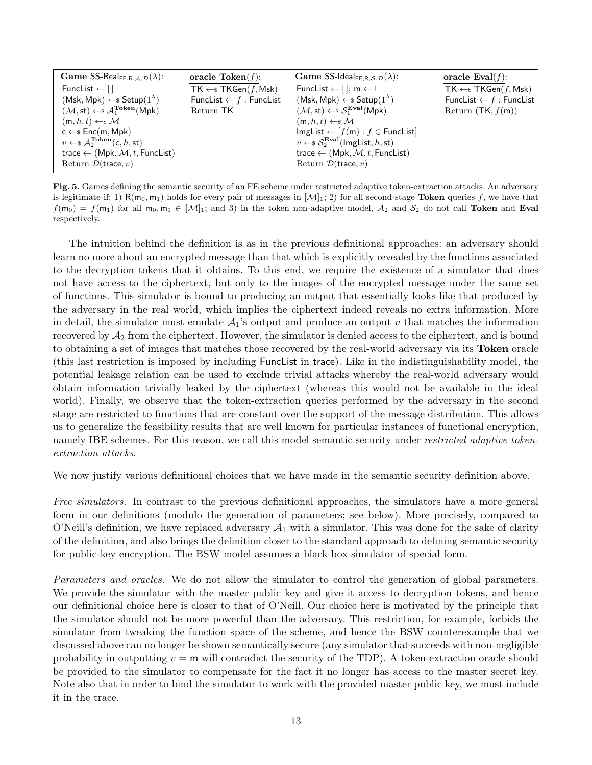| <b>Game SS-Real</b> FE, $R, A, D(\lambda)$ :                                                    | oracle Token $(f)$ :               | <b>Game SS-Ideal</b> FE, $R, S, D(\lambda)$ :                                        | oracle $\text{Eval}(f)$ :          |
|-------------------------------------------------------------------------------------------------|------------------------------------|--------------------------------------------------------------------------------------|------------------------------------|
| FuncList $\leftarrow$ []                                                                        | $TK \leftarrow$ TKGen $(f, Msk)$   | FuncList $\leftarrow$ []; m $\leftarrow \perp$                                       | $TK \leftarrow$ TKGen $(f, Msk)$   |
| $(Msk, Mpk) \leftarrow s$ Setup $(1^{\lambda})$                                                 | FuncList $\leftarrow f$ : FuncList | $(Msk, Mpk) \leftarrow s$ Setup $(1^{\lambda})$                                      | FuncList $\leftarrow f$ : FuncList |
| $(\mathcal{M}, \mathsf{st}) \leftarrow \mathsf{s} \mathcal{A}_1^{\mathbf{Token}}(\mathsf{Mpk})$ | Return TK                          | $(\mathcal{M}, \mathsf{st}) \leftarrow \mathsf{s} S_1^{\mathbf{Eval}}(\mathsf{Mpk})$ | Return $(TK, f(m))$                |
| $(m, h, t) \leftarrow \mathcal{A}$                                                              |                                    | $(m, h, t) \leftarrow \mathcal{M}$                                                   |                                    |
| $c \leftarrow s \mathsf{Enc}(m, \mathsf{Mpk})$                                                  |                                    | ImgList $\leftarrow [f(m) : f \in \text{FuncList}]$                                  |                                    |
| $v \leftarrow \mathcal{A}_2^{\text{Token}}(\mathsf{c}, h, \mathsf{st})$                         |                                    | $v \leftarrow \mathcal{S}_2^{\text{Eval}}(\text{ImgList}, h, \text{st})$             |                                    |
| trace $\leftarrow$ (Mpk, M, t, FuncList)                                                        |                                    | trace $\leftarrow$ (Mpk, M, t, FuncList)                                             |                                    |
| Return $\mathcal{D}$ (trace, v)                                                                 |                                    | Return $\mathcal{D}$ (trace, v)                                                      |                                    |

<span id="page-12-0"></span>Fig. 5. Games defining the semantic security of an FE scheme under restricted adaptive token-extraction attacks. An adversary is legitimate if: 1)  $R(m_0, m_1)$  holds for every pair of messages in  $[\mathcal{M}]_1$ ; 2) for all second-stage **Token** queries f, we have that  $f(m_0) = f(m_1)$  for all  $m_0, m_1 \in [\mathcal{M}]_1$ ; and 3) in the token non-adaptive model,  $\mathcal{A}_2$  and  $\mathcal{S}_2$  do not call Token and Eval respectively.

The intuition behind the definition is as in the previous definitional approaches: an adversary should learn no more about an encrypted message than that which is explicitly revealed by the functions associated to the decryption tokens that it obtains. To this end, we require the existence of a simulator that does not have access to the ciphertext, but only to the images of the encrypted message under the same set of functions. This simulator is bound to producing an output that essentially looks like that produced by the adversary in the real world, which implies the ciphertext indeed reveals no extra information. More in detail, the simulator must emulate  $\mathcal{A}_1$ 's output and produce an output v that matches the information recovered by  $\mathcal{A}_2$  from the ciphertext. However, the simulator is denied access to the ciphertext, and is bound to obtaining a set of images that matches those recovered by the real-world adversary via its **Token** oracle (this last restriction is imposed by including FuncList in trace). Like in the indistinguishability model, the potential leakage relation can be used to exclude trivial attacks whereby the real-world adversary would obtain information trivially leaked by the ciphertext (whereas this would not be available in the ideal world). Finally, we observe that the token-extraction queries performed by the adversary in the second stage are restricted to functions that are constant over the support of the message distribution. This allows us to generalize the feasibility results that are well known for particular instances of functional encryption, namely IBE schemes. For this reason, we call this model semantic security under *restricted adaptive token*extraction attacks.

We now justify various definitional choices that we have made in the semantic security definition above.

Free simulators. In contrast to the previous definitional approaches, the simulators have a more general form in our definitions (modulo the generation of parameters; see below). More precisely, compared to O'Neill's definition, we have replaced adversary  $A_1$  with a simulator. This was done for the sake of clarity of the definition, and also brings the definition closer to the standard approach to defining semantic security for public-key encryption. The BSW model assumes a black-box simulator of special form.

Parameters and oracles. We do not allow the simulator to control the generation of global parameters. We provide the simulator with the master public key and give it access to decryption tokens, and hence our definitional choice here is closer to that of O'Neill. Our choice here is motivated by the principle that the simulator should not be more powerful than the adversary. This restriction, for example, forbids the simulator from tweaking the function space of the scheme, and hence the BSW counterexample that we discussed above can no longer be shown semantically secure (any simulator that succeeds with non-negligible probability in outputting  $v = m$  will contradict the security of the TDP). A token-extraction oracle should be provided to the simulator to compensate for the fact it no longer has access to the master secret key. Note also that in order to bind the simulator to work with the provided master public key, we must include it in the trace.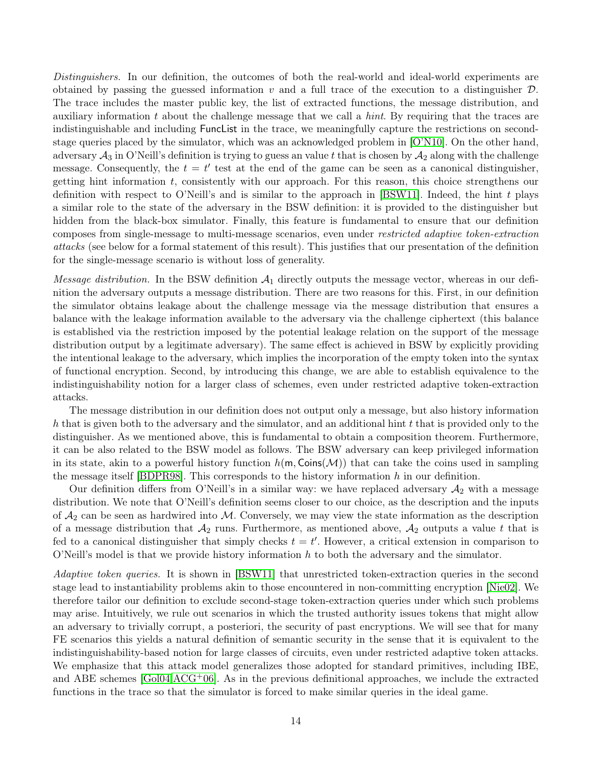<span id="page-13-0"></span>Distinguishers. In our definition, the outcomes of both the real-world and ideal-world experiments are obtained by passing the guessed information v and a full trace of the execution to a distinguisher  $\mathcal{D}$ . The trace includes the master public key, the list of extracted functions, the message distribution, and auxiliary information t about the challenge message that we call a *hint*. By requiring that the traces are indistinguishable and including FuncList in the trace, we meaningfully capture the restrictions on secondstage queries placed by the simulator, which was an acknowledged problem in [\[O'N10\]](#page-23-5). On the other hand, adversary  $A_3$  in O'Neill's definition is trying to guess an value t that is chosen by  $A_2$  along with the challenge message. Consequently, the  $t = t'$  test at the end of the game can be seen as a canonical distinguisher, getting hint information t, consistently with our approach. For this reason, this choice strengthens our definition with respect to O'Neill's and is similar to the approach in [\[BSW11\]](#page-23-0). Indeed, the hint t plays a similar role to the state of the adversary in the BSW definition: it is provided to the distinguisher but hidden from the black-box simulator. Finally, this feature is fundamental to ensure that our definition composes from single-message to multi-message scenarios, even under restricted adaptive token-extraction attacks (see below for a formal statement of this result). This justifies that our presentation of the definition for the single-message scenario is without loss of generality.

*Message distribution.* In the BSW definition  $A_1$  directly outputs the message vector, whereas in our definition the adversary outputs a message distribution. There are two reasons for this. First, in our definition the simulator obtains leakage about the challenge message via the message distribution that ensures a balance with the leakage information available to the adversary via the challenge ciphertext (this balance is established via the restriction imposed by the potential leakage relation on the support of the message distribution output by a legitimate adversary). The same effect is achieved in BSW by explicitly providing the intentional leakage to the adversary, which implies the incorporation of the empty token into the syntax of functional encryption. Second, by introducing this change, we are able to establish equivalence to the indistinguishability notion for a larger class of schemes, even under restricted adaptive token-extraction attacks.

The message distribution in our definition does not output only a message, but also history information h that is given both to the adversary and the simulator, and an additional hint  $t$  that is provided only to the distinguisher. As we mentioned above, this is fundamental to obtain a composition theorem. Furthermore, it can be also related to the BSW model as follows. The BSW adversary can keep privileged information in its state, akin to a powerful history function  $h(m, \text{Coins}(\mathcal{M}))$  that can take the coins used in sampling the message itself [\[BDPR98\]](#page-23-13). This corresponds to the history information  $h$  in our definition.

Our definition differs from O'Neill's in a similar way: we have replaced adversary  $\mathcal{A}_2$  with a message distribution. We note that O'Neill's definition seems closer to our choice, as the description and the inputs of  $\mathcal{A}_2$  can be seen as hardwired into M. Conversely, we may view the state information as the description of a message distribution that  $\mathcal{A}_2$  runs. Furthermore, as mentioned above,  $\mathcal{A}_2$  outputs a value t that is fed to a canonical distinguisher that simply checks  $t = t'$ . However, a critical extension in comparison to O'Neill's model is that we provide history information  $h$  to both the adversary and the simulator.

Adaptive token queries. It is shown in [\[BSW11\]](#page-23-0) that unrestricted token-extraction queries in the second stage lead to instantiability problems akin to those encountered in non-committing encryption [\[Nie02\]](#page-23-8). We therefore tailor our definition to exclude second-stage token-extraction queries under which such problems may arise. Intuitively, we rule out scenarios in which the trusted authority issues tokens that might allow an adversary to trivially corrupt, a posteriori, the security of past encryptions. We will see that for many FE scenarios this yields a natural definition of semantic security in the sense that it is equivalent to the indistinguishability-based notion for large classes of circuits, even under restricted adaptive token attacks. We emphasize that this attack model generalizes those adopted for standard primitives, including IBE, and ABE schemes  $[Go104, ACG<sup>+</sup>06]$ . As in the previous definitional approaches, we include the extracted functions in the trace so that the simulator is forced to make similar queries in the ideal game.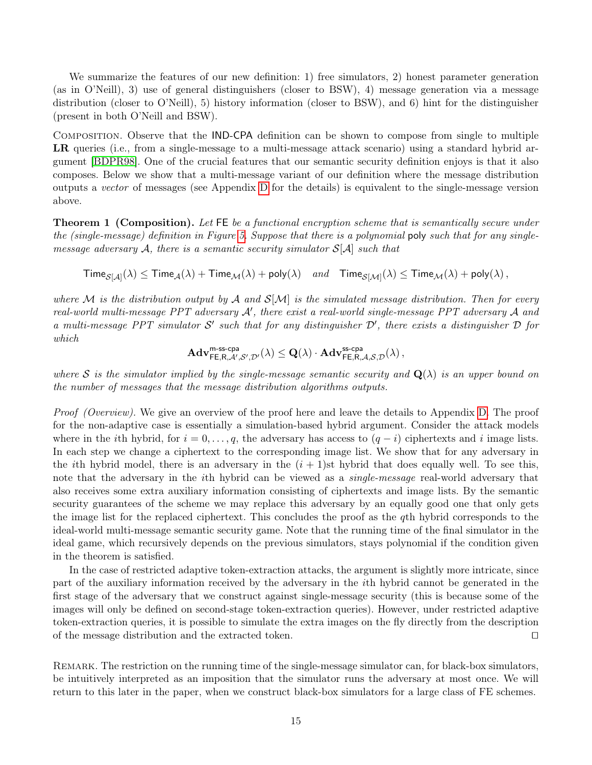<span id="page-14-1"></span>We summarize the features of our new definition: 1) free simulators, 2) honest parameter generation (as in O'Neill), 3) use of general distinguishers (closer to BSW), 4) message generation via a message distribution (closer to O'Neill), 5) history information (closer to BSW), and 6) hint for the distinguisher (present in both O'Neill and BSW).

Composition. Observe that the IND-CPA definition can be shown to compose from single to multiple LR queries (i.e., from a single-message to a multi-message attack scenario) using a standard hybrid argument [\[BDPR98\]](#page-23-13). One of the crucial features that our semantic security definition enjoys is that it also composes. Below we show that a multi-message variant of our definition where the message distribution outputs a vector of messages (see Appendix [D](#page-25-0) for the details) is equivalent to the single-message version above.

<span id="page-14-0"></span>**Theorem 1 (Composition).** Let FE be a functional encryption scheme that is semantically secure under the (single-message) definition in Figure [5.](#page-12-0) Suppose that there is a polynomial poly such that for any singlemessage adversary A, there is a semantic security simulator  $S[A]$  such that

 $\text{Time}_{\mathcal{S}[\mathcal{A}]}(\lambda) \leq \text{Time}_{\mathcal{A}}(\lambda) + \text{Time}_{\mathcal{M}}(\lambda) + \text{poly}(\lambda) \quad and \quad \text{Time}_{\mathcal{S}[\mathcal{M}]}(\lambda) \leq \text{Time}_{\mathcal{M}}(\lambda) + \text{poly}(\lambda) \,,$ 

where M is the distribution output by A and  $S[M]$  is the simulated message distribution. Then for every real-world multi-message PPT adversary  $A'$ , there exist a real-world single-message PPT adversary  $A$  and a multi-message PPT simulator  $S'$  such that for any distinguisher  $D'$ , there exists a distinguisher  $D$  for which

$$
\mathbf{Adv}_{\mathsf{FE}, \mathsf{R}, \mathcal{A}', \mathcal{S}', \mathcal{D}'}^{\mathsf{m}\text{-ss-cpa}}(\lambda) \leq \mathbf{Q}(\lambda) \cdot \mathbf{Adv}_{\mathsf{FE}, \mathsf{R}, \mathcal{A}, \mathcal{S}, \mathcal{D}}^{\mathsf{ss-cpa}}(\lambda)\,,
$$

where S is the simulator implied by the single-message semantic security and  $Q(\lambda)$  is an upper bound on the number of messages that the message distribution algorithms outputs.

Proof (Overview). We give an overview of the proof here and leave the details to Appendix [D.](#page-25-0) The proof for the non-adaptive case is essentially a simulation-based hybrid argument. Consider the attack models where in the *i*th hybrid, for  $i = 0, \ldots, q$ , the adversary has access to  $(q - i)$  ciphertexts and *i* image lists. In each step we change a ciphertext to the corresponding image list. We show that for any adversary in the *i*th hybrid model, there is an adversary in the  $(i + 1)$ st hybrid that does equally well. To see this, note that the adversary in the *i*th hybrid can be viewed as a *single-message* real-world adversary that also receives some extra auxiliary information consisting of ciphertexts and image lists. By the semantic security guarantees of the scheme we may replace this adversary by an equally good one that only gets the image list for the replaced ciphertext. This concludes the proof as the  $q$ th hybrid corresponds to the ideal-world multi-message semantic security game. Note that the running time of the final simulator in the ideal game, which recursively depends on the previous simulators, stays polynomial if the condition given in the theorem is satisfied.

In the case of restricted adaptive token-extraction attacks, the argument is slightly more intricate, since part of the auxiliary information received by the adversary in the ith hybrid cannot be generated in the first stage of the adversary that we construct against single-message security (this is because some of the images will only be defined on second-stage token-extraction queries). However, under restricted adaptive token-extraction queries, it is possible to simulate the extra images on the fly directly from the description of the message distribution and the extracted token.  $\Box$ 

REMARK. The restriction on the running time of the single-message simulator can, for black-box simulators, be intuitively interpreted as an imposition that the simulator runs the adversary at most once. We will return to this later in the paper, when we construct black-box simulators for a large class of FE schemes.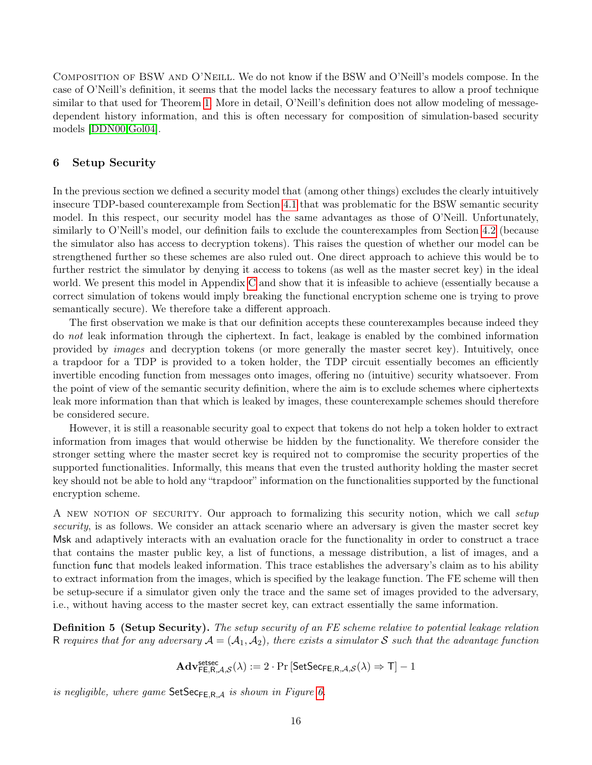<span id="page-15-1"></span>Composition of BSW and O'Neill. We do not know if the BSW and O'Neill's models compose. In the case of O'Neill's definition, it seems that the model lacks the necessary features to allow a proof technique similar to that used for Theorem [1.](#page-14-0) More in detail, O'Neill's definition does not allow modeling of messagedependent history information, and this is often necessary for composition of simulation-based security models [\[DDN00,](#page-23-14)[Gol04\]](#page-23-3).

#### <span id="page-15-0"></span>6 Setup Security

In the previous section we defined a security model that (among other things) excludes the clearly intuitively insecure TDP-based counterexample from Section [4.1](#page-8-2) that was problematic for the BSW semantic security model. In this respect, our security model has the same advantages as those of O'Neill. Unfortunately, similarly to O'Neill's model, our definition fails to exclude the counterexamples from Section [4.2](#page-10-1) (because the simulator also has access to decryption tokens). This raises the question of whether our model can be strengthened further so these schemes are also ruled out. One direct approach to achieve this would be to further restrict the simulator by denying it access to tokens (as well as the master secret key) in the ideal world. We present this model in Appendix [C](#page-25-1) and show that it is infeasible to achieve (essentially because a correct simulation of tokens would imply breaking the functional encryption scheme one is trying to prove semantically secure). We therefore take a different approach.

The first observation we make is that our definition accepts these counterexamples because indeed they do not leak information through the ciphertext. In fact, leakage is enabled by the combined information provided by images and decryption tokens (or more generally the master secret key). Intuitively, once a trapdoor for a TDP is provided to a token holder, the TDP circuit essentially becomes an efficiently invertible encoding function from messages onto images, offering no (intuitive) security whatsoever. From the point of view of the semantic security definition, where the aim is to exclude schemes where ciphertexts leak more information than that which is leaked by images, these counterexample schemes should therefore be considered secure.

However, it is still a reasonable security goal to expect that tokens do not help a token holder to extract information from images that would otherwise be hidden by the functionality. We therefore consider the stronger setting where the master secret key is required not to compromise the security properties of the supported functionalities. Informally, this means that even the trusted authority holding the master secret key should not be able to hold any "trapdoor" information on the functionalities supported by the functional encryption scheme.

A NEW NOTION OF SECURITY. Our approach to formalizing this security notion, which we call setup security, is as follows. We consider an attack scenario where an adversary is given the master secret key Msk and adaptively interacts with an evaluation oracle for the functionality in order to construct a trace that contains the master public key, a list of functions, a message distribution, a list of images, and a function func that models leaked information. This trace establishes the adversary's claim as to his ability to extract information from the images, which is specified by the leakage function. The FE scheme will then be setup-secure if a simulator given only the trace and the same set of images provided to the adversary, i.e., without having access to the master secret key, can extract essentially the same information.

Definition 5 (Setup Security). The setup security of an FE scheme relative to potential leakage relation R requires that for any adversary  $\mathcal{A} = (\mathcal{A}_1, \mathcal{A}_2)$ , there exists a simulator S such that the advantage function

$$
\mathbf{Adv}_{\mathsf{FE},\mathsf{R},\mathcal{A},\mathcal{S}}^{\mathsf{setsec}}(\lambda) := 2 \cdot \Pr\left[\mathsf{SetSec}_{\mathsf{FE},\mathsf{R},\mathcal{A},\mathcal{S}}(\lambda) \Rightarrow \mathsf{T}\right] - 1
$$

is negligible, where game  $\mathsf{SetSec}_{\mathsf{FE},R,A}$  is shown in Figure [6.](#page-16-0)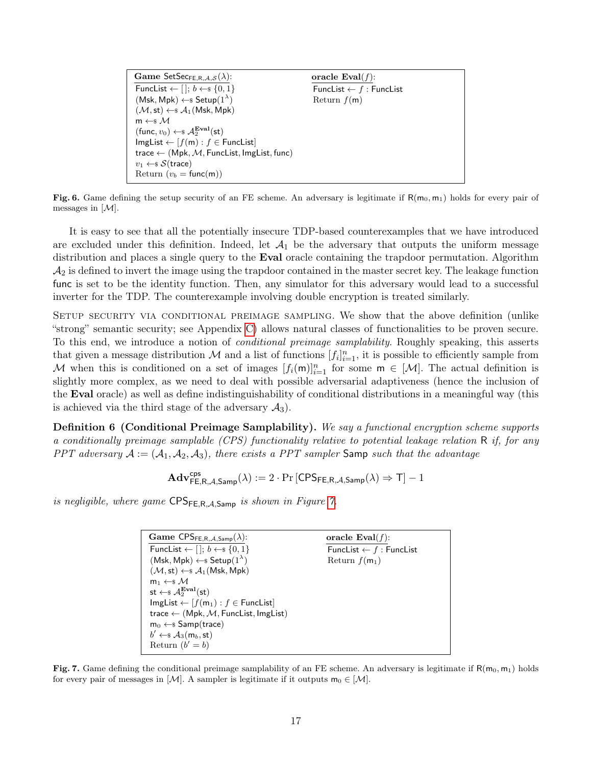| oracle $\text{Eval}(f)$ :          |
|------------------------------------|
| FuncList $\leftarrow f$ : FuncList |
| Return $f(m)$                      |
|                                    |
|                                    |
|                                    |
|                                    |
|                                    |
|                                    |
|                                    |
|                                    |

<span id="page-16-0"></span>Fig. 6. Game defining the setup security of an FE scheme. An adversary is legitimate if  $R(m_0, m_1)$  holds for every pair of messages in  $[\mathcal{M}]$ .

It is easy to see that all the potentially insecure TDP-based counterexamples that we have introduced are excluded under this definition. Indeed, let  $A_1$  be the adversary that outputs the uniform message distribution and places a single query to the **Eval** oracle containing the trapdoor permutation. Algorithm  $A_2$  is defined to invert the image using the trapdoor contained in the master secret key. The leakage function func is set to be the identity function. Then, any simulator for this adversary would lead to a successful inverter for the TDP. The counterexample involving double encryption is treated similarly.

Setup security via conditional preimage sampling. We show that the above definition (unlike "strong" semantic security; see Appendix [C\)](#page-25-1) allows natural classes of functionalities to be proven secure. To this end, we introduce a notion of conditional preimage samplability. Roughly speaking, this asserts that given a message distribution M and a list of functions  $[f_i]_{i=1}^n$ , it is possible to efficiently sample from M when this is conditioned on a set of images  $[f_i(m)]_{i=1}^n$  for some  $m \in [\mathcal{M}]$ . The actual definition is slightly more complex, as we need to deal with possible adversarial adaptiveness (hence the inclusion of the Eval oracle) as well as define indistinguishability of conditional distributions in a meaningful way (this is achieved via the third stage of the adversary  $\mathcal{A}_3$ .

**Definition 6 (Conditional Preimage Samplability).** We say a functional encryption scheme supports a conditionally preimage samplable (CPS) functionality relative to potential leakage relation R if, for any PPT adversary  $A := (\mathcal{A}_1, \mathcal{A}_2, \mathcal{A}_3)$ , there exists a PPT sampler Samp such that the advantage

$$
\mathbf{Adv}_{\mathsf{FE},\mathsf{R},\mathcal{A},\mathsf{Samp}}^{\mathsf{cps}}(\lambda) := 2 \cdot \Pr\left[\mathsf{CPS}_{\mathsf{FE},\mathsf{R},\mathcal{A},\mathsf{Samp}}(\lambda) \Rightarrow \mathsf{T}\right] - 1
$$

is negligible, where game  $CPS_{F. R.A.S.}$  is shown in Figure [7.](#page-16-1)

| oracle $\text{Eval}(f)$ :          |
|------------------------------------|
| FuncList $\leftarrow f$ : FuncList |
| Return $f(m_1)$                    |
|                                    |
|                                    |
|                                    |
|                                    |
|                                    |
|                                    |
|                                    |
|                                    |
|                                    |

<span id="page-16-1"></span>Fig. 7. Game defining the conditional preimage samplability of an FE scheme. An adversary is legitimate if  $R(m_0, m_1)$  holds for every pair of messages in  $[\mathcal{M}]$ . A sampler is legitimate if it outputs  $m_0 \in [\mathcal{M}]$ .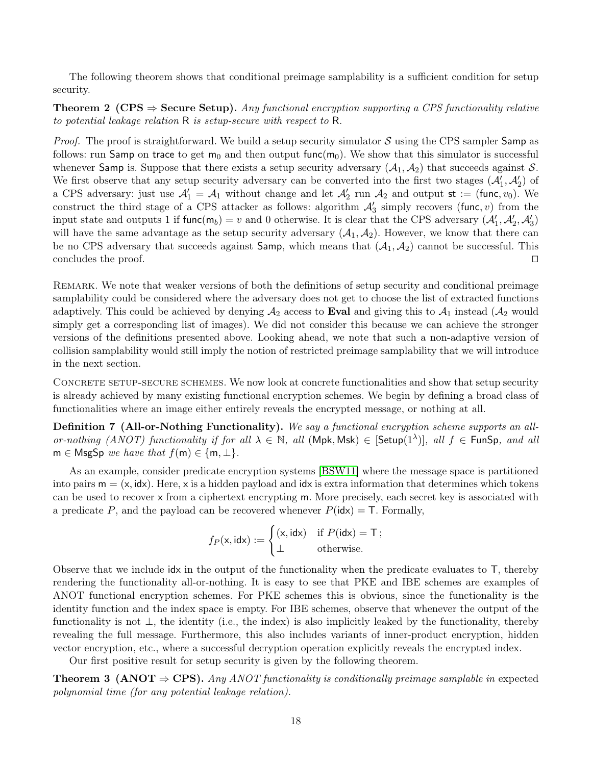<span id="page-17-2"></span><span id="page-17-0"></span>The following theorem shows that conditional preimage samplability is a sufficient condition for setup security.

**Theorem 2 (CPS**  $\Rightarrow$  Secure Setup). Any functional encryption supporting a CPS functionality relative to potential leakage relation R is setup-secure with respect to R.

*Proof.* The proof is straightforward. We build a setup security simulator S using the CPS sampler Samp as follows: run Samp on trace to get  $m_0$  and then output func( $m_0$ ). We show that this simulator is successful whenever Samp is. Suppose that there exists a setup security adversary  $(\mathcal{A}_1, \mathcal{A}_2)$  that succeeds against S. We first observe that any setup security adversary can be converted into the first two stages  $(\mathcal{A}'_1, \mathcal{A}'_2)$  of a CPS adversary: just use  $\mathcal{A}'_1 = \mathcal{A}_1$  without change and let  $\mathcal{A}'_2$  run  $\mathcal{A}_2$  and output st := (func,  $v_0$ ). We construct the third stage of a CPS attacker as follows: algorithm  $\mathcal{A}'_3$  simply recovers (func, v) from the input state and outputs 1 if  $func(m_b) = v$  and 0 otherwise. It is clear that the CPS adversary  $(\mathcal{A}'_1, \mathcal{A}'_2, \mathcal{A}'_3)$ will have the same advantage as the setup security adversary  $(A_1, A_2)$ . However, we know that there can be no CPS adversary that succeeds against Samp, which means that  $(\mathcal{A}_1, \mathcal{A}_2)$  cannot be successful. This concludes the proof.  $\Box$ 

REMARK. We note that weaker versions of both the definitions of setup security and conditional preimage samplability could be considered where the adversary does not get to choose the list of extracted functions adaptively. This could be achieved by denying  $A_2$  access to **Eval** and giving this to  $A_1$  instead ( $A_2$  would simply get a corresponding list of images). We did not consider this because we can achieve the stronger versions of the definitions presented above. Looking ahead, we note that such a non-adaptive version of collision samplability would still imply the notion of restricted preimage samplability that we will introduce in the next section.

CONCRETE SETUP-SECURE SCHEMES. We now look at concrete functionalities and show that setup security is already achieved by many existing functional encryption schemes. We begin by defining a broad class of functionalities where an image either entirely reveals the encrypted message, or nothing at all.

Definition 7 (All-or-Nothing Functionality). We say a functional encryption scheme supports an allor-nothing (ANOT) functionality if for all  $\lambda \in \mathbb{N}$ , all (Mpk, Msk)  $\in$  [Setup(1<sup> $\lambda$ </sup>)], all  $f \in$  FunSp, and all  $m \in \mathsf{MsgSp}$  we have that  $f(m) \in \{m, \perp\}.$ 

As an example, consider predicate encryption systems [\[BSW11\]](#page-23-0) where the message space is partitioned into pairs  $m = (x, idx)$ . Here, x is a hidden payload and  $idx$  is extra information that determines which tokens can be used to recover x from a ciphertext encrypting m. More precisely, each secret key is associated with a predicate P, and the payload can be recovered whenever  $P(idx) = T$ . Formally,

<span id="page-17-1"></span>
$$
f_P(\mathsf{x}, \mathsf{idx}) := \begin{cases} (\mathsf{x}, \mathsf{idx}) & \text{if } P(\mathsf{idx}) = \mathsf{T} \\ \perp & \text{otherwise.} \end{cases}
$$

Observe that we include idx in the output of the functionality when the predicate evaluates to T, thereby rendering the functionality all-or-nothing. It is easy to see that PKE and IBE schemes are examples of ANOT functional encryption schemes. For PKE schemes this is obvious, since the functionality is the identity function and the index space is empty. For IBE schemes, observe that whenever the output of the functionality is not ⊥, the identity (i.e., the index) is also implicitly leaked by the functionality, thereby revealing the full message. Furthermore, this also includes variants of inner-product encryption, hidden vector encryption, etc., where a successful decryption operation explicitly reveals the encrypted index.

Our first positive result for setup security is given by the following theorem.

**Theorem 3 (ANOT**  $\Rightarrow$  CPS). Any ANOT functionality is conditionally preimage samplable in expected polynomial time (for any potential leakage relation).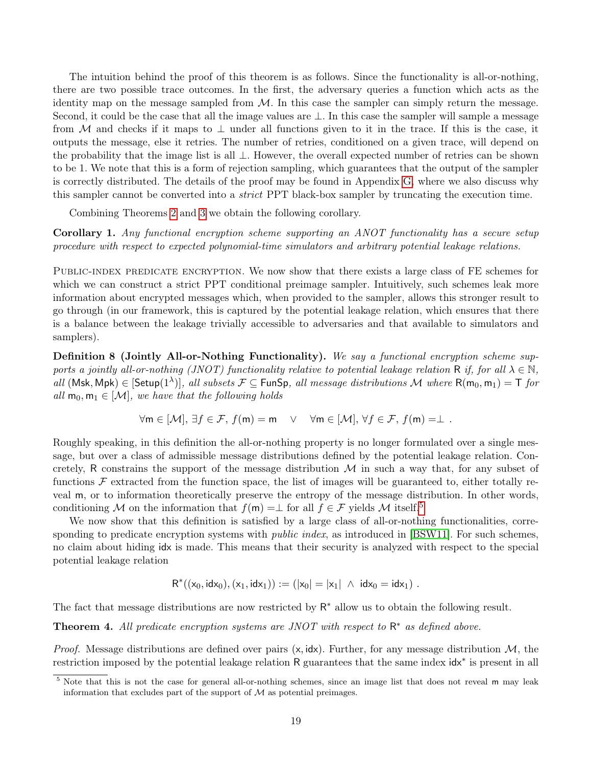<span id="page-18-2"></span>The intuition behind the proof of this theorem is as follows. Since the functionality is all-or-nothing, there are two possible trace outcomes. In the first, the adversary queries a function which acts as the identity map on the message sampled from  $M$ . In this case the sampler can simply return the message. Second, it could be the case that all the image values are ⊥. In this case the sampler will sample a message from M and checks if it maps to  $\perp$  under all functions given to it in the trace. If this is the case, it outputs the message, else it retries. The number of retries, conditioned on a given trace, will depend on the probability that the image list is all ⊥. However, the overall expected number of retries can be shown to be 1. We note that this is a form of rejection sampling, which guarantees that the output of the sampler is correctly distributed. The details of the proof may be found in Appendix [G,](#page-29-0) where we also discuss why this sampler cannot be converted into a *strict* PPT black-box sampler by truncating the execution time.

<span id="page-18-1"></span>Combining Theorems [2](#page-17-0) and [3](#page-17-1) we obtain the following corollary.

Corollary 1. Any functional encryption scheme supporting an ANOT functionality has a secure setup procedure with respect to expected polynomial-time simulators and arbitrary potential leakage relations.

PUBLIC-INDEX PREDICATE ENCRYPTION. We now show that there exists a large class of FE schemes for which we can construct a strict PPT conditional preimage sampler. Intuitively, such schemes leak more information about encrypted messages which, when provided to the sampler, allows this stronger result to go through (in our framework, this is captured by the potential leakage relation, which ensures that there is a balance between the leakage trivially accessible to adversaries and that available to simulators and samplers).

Definition 8 (Jointly All-or-Nothing Functionality). We say a functional encryption scheme supports a jointly all-or-nothing (JNOT) functionality relative to potential leakage relation R if, for all  $\lambda \in \mathbb{N}$ , all (Msk, Mpk)  $\in$  [Setup(1<sup> $\lambda$ </sup>)], all subsets  $\mathcal{F} \subseteq$  FunSp, all message distributions M where  $R(m_0, m_1) = T$  for all  $m_0, m_1 \in [\mathcal{M}]$ , we have that the following holds

$$
\forall m \in [\mathcal{M}], \exists f \in \mathcal{F}, f(m) = m \quad \vee \quad \forall m \in [\mathcal{M}], \forall f \in \mathcal{F}, f(m) = \perp.
$$

Roughly speaking, in this definition the all-or-nothing property is no longer formulated over a single message, but over a class of admissible message distributions defined by the potential leakage relation. Concretely, R constrains the support of the message distribution  $\mathcal M$  in such a way that, for any subset of functions  $\mathcal F$  extracted from the function space, the list of images will be guaranteed to, either totally reveal m, or to information theoretically preserve the entropy of the message distribution. In other words, conditioning M on the information that  $f(m) = \perp$  for all  $f \in \mathcal{F}$  yields M itself.<sup>[5](#page-18-0)</sup>

We now show that this definition is satisfied by a large class of all-or-nothing functionalities, corresponding to predicate encryption systems with *public index*, as introduced in [\[BSW11\]](#page-23-0). For such schemes, no claim about hiding idx is made. This means that their security is analyzed with respect to the special potential leakage relation

$$
R^*((x_0,\mathsf{idx}_0), (x_1,\mathsf{idx}_1)) := (|x_0| = |x_1| \ \wedge \ \mathsf{idx}_0 = \mathsf{idx}_1) \ .
$$

The fact that message distributions are now restricted by  $R^*$  allow us to obtain the following result.

**Theorem 4.** All predicate encryption systems are JNOT with respect to  $\mathbb{R}^*$  as defined above.

*Proof.* Message distributions are defined over pairs  $(x, \text{idx})$ . Further, for any message distribution M, the restriction imposed by the potential leakage relation R guarantees that the same index idx<sup>∗</sup> is present in all

<span id="page-18-0"></span><sup>&</sup>lt;sup>5</sup> Note that this is not the case for general all-or-nothing schemes, since an image list that does not reveal m may leak information that excludes part of the support of  $M$  as potential preimages.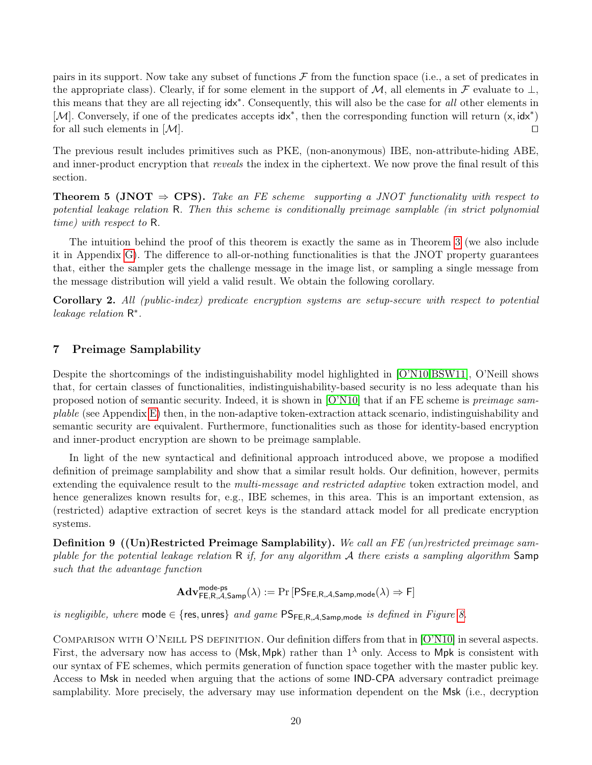<span id="page-19-1"></span>pairs in its support. Now take any subset of functions  $\mathcal F$  from the function space (i.e., a set of predicates in the appropriate class). Clearly, if for some element in the support of M, all elements in F evaluate to  $\perp$ , this means that they are all rejecting idx<sup>∗</sup> . Consequently, this will also be the case for all other elements in [M]. Conversely, if one of the predicates accepts  $idx^*$ , then the corresponding function will return  $(x, idx^*)$ for all such elements in  $[M]$ .

<span id="page-19-2"></span>The previous result includes primitives such as PKE, (non-anonymous) IBE, non-attribute-hiding ABE, and inner-product encryption that reveals the index in the ciphertext. We now prove the final result of this section.

**Theorem 5 (JNOT**  $\Rightarrow$  **CPS).** Take an FE scheme supporting a JNOT functionality with respect to potential leakage relation R. Then this scheme is conditionally preimage samplable (in strict polynomial time) with respect to R.

The intuition behind the proof of this theorem is exactly the same as in Theorem [3](#page-17-1) (we also include it in Appendix [G\)](#page-29-0). The difference to all-or-nothing functionalities is that the JNOT property guarantees that, either the sampler gets the challenge message in the image list, or sampling a single message from the message distribution will yield a valid result. We obtain the following corollary.

Corollary 2. All (public-index) predicate encryption systems are setup-secure with respect to potential leakage relation  $\mathsf{R}^*$ .

# <span id="page-19-0"></span>7 Preimage Samplability

Despite the shortcomings of the indistinguishability model highlighted in [\[O'N10,](#page-23-5)[BSW11\]](#page-23-0), O'Neill shows that, for certain classes of functionalities, indistinguishability-based security is no less adequate than his proposed notion of semantic security. Indeed, it is shown in  $[O'N10]$  that if an FE scheme is *preimage sam*-plable (see Appendix [E\)](#page-27-0) then, in the non-adaptive token-extraction attack scenario, indistinguishability and semantic security are equivalent. Furthermore, functionalities such as those for identity-based encryption and inner-product encryption are shown to be preimage samplable.

In light of the new syntactical and definitional approach introduced above, we propose a modified definition of preimage samplability and show that a similar result holds. Our definition, however, permits extending the equivalence result to the *multi-message and restricted adaptive* token extraction model, and hence generalizes known results for, e.g., IBE schemes, in this area. This is an important extension, as (restricted) adaptive extraction of secret keys is the standard attack model for all predicate encryption systems.

**Definition 9** ((Un)Restricted Preimage Samplability). We call an FE (un)restricted preimage samplable for the potential leakage relation R if, for any algorithm A there exists a sampling algorithm  $S$ amp such that the advantage function

 $\mathbf{Adv}_{\mathsf{FE},\mathsf{R},\mathcal{A},\mathsf{Samp}}^{\mathsf{mode\text{-}ps}}(\lambda) := \Pr\left[\mathsf{PS}_{\mathsf{FE},\mathsf{R},\mathcal{A},\mathsf{Samp},\mathsf{mode}}(\lambda) \Rightarrow \mathsf{F}\right]$ 

is negligible, where mode  $\in$  {res, unres} and game PS<sub>FE,R,A,Samp,mode</sub> is defined in Figure [8.](#page-20-0)

Comparison with O'Neill PS definition. Our definition differs from that in [\[O'N10\]](#page-23-5) in several aspects. First, the adversary now has access to (Msk, Mpk) rather than  $1^{\lambda}$  only. Access to Mpk is consistent with our syntax of FE schemes, which permits generation of function space together with the master public key. Access to Msk in needed when arguing that the actions of some IND-CPA adversary contradict preimage samplability. More precisely, the adversary may use information dependent on the Msk (i.e., decryption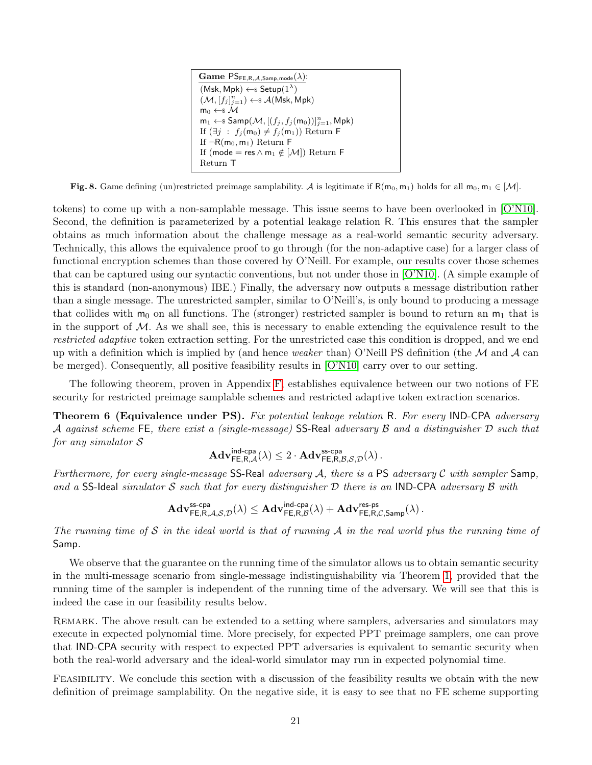$\mathbf{Game}\ \mathsf{PS}_{\mathsf{FE}, \mathsf{R}, \mathcal{A}, \mathsf{Samp}, \mathsf{mode}}(\lambda)$ :  $(Msk, Mpk) \leftarrow s$  Setup $(1^{\lambda})$  $(\mathcal{M}, [f_j]_{j=1}^n) \leftarrow \$   $\mathcal{A}(\mathsf{Msk}, \mathsf{Mpk})$  $m_0 \leftarrow \in \mathcal{M}$  $m_1 \leftarrow s$  Samp $(\mathcal{M}, [(f_j, f_j(m_0))]_{j=1}^n, \mathsf{Mpk})$ If  $(\exists j : f_j(\mathsf{m}_0) \neq f_j(\mathsf{m}_1))$  Return F If  $\neg R(m_0, m_1)$  Return F If (mode = res  $\wedge$  m<sub>1</sub>  $\notin$  [*M*]) Return **F** Return T

<span id="page-20-1"></span><span id="page-20-0"></span>**Fig. 8.** Game defining (un)restricted preimage samplability. A is legitimate if  $R(m_0, m_1)$  holds for all  $m_0, m_1 \in [\mathcal{M}]$ .

tokens) to come up with a non-samplable message. This issue seems to have been overlooked in [\[O'N10\]](#page-23-5). Second, the definition is parameterized by a potential leakage relation R. This ensures that the sampler obtains as much information about the challenge message as a real-world semantic security adversary. Technically, this allows the equivalence proof to go through (for the non-adaptive case) for a larger class of functional encryption schemes than those covered by O'Neill. For example, our results cover those schemes that can be captured using our syntactic conventions, but not under those in [\[O'N10\]](#page-23-5). (A simple example of this is standard (non-anonymous) IBE.) Finally, the adversary now outputs a message distribution rather than a single message. The unrestricted sampler, similar to O'Neill's, is only bound to producing a message that collides with  $m_0$  on all functions. The (stronger) restricted sampler is bound to return an  $m_1$  that is in the support of  $M$ . As we shall see, this is necessary to enable extending the equivalence result to the restricted adaptive token extraction setting. For the unrestricted case this condition is dropped, and we end up with a definition which is implied by (and hence *weaker* than) O'Neill PS definition (the  $\mathcal{M}$  and  $\mathcal{A}$  can be merged). Consequently, all positive feasibility results in [\[O'N10\]](#page-23-5) carry over to our setting.

The following theorem, proven in Appendix [F,](#page-28-0) establishes equivalence between our two notions of FE security for restricted preimage samplable schemes and restricted adaptive token extraction scenarios.

Theorem 6 (Equivalence under PS). Fix potential leakage relation R. For every IND-CPA adversary A against scheme FE, there exist a (single-message) SS-Real adversary  $\beta$  and a distinguisher  $\mathcal D$  such that for any simulator S

<span id="page-20-2"></span>
$$
\mathbf{Adv}_{\mathsf{FE},\mathsf{R},\mathcal{A}}^{\mathsf{ind-cpa}}(\lambda) \leq 2\cdot \mathbf{Adv}_{\mathsf{FE},\mathsf{R},\mathcal{B},\mathcal{S},\mathcal{D}}^{\mathsf{ss-cpa}}(\lambda)\,.
$$

Furthermore, for every single-message SS-Real adversary A, there is a PS adversary C with sampler Samp, and a SS-Ideal simulator S such that for every distinguisher D there is an IND-CPA adversary B with

$$
\mathbf{Adv}_{\mathsf{FE}, \mathsf{R}, \mathcal{A}, \mathcal{S}, \mathcal{D}}^{\mathsf{ss-cpa}}(\lambda) \leq \mathbf{Adv}_{\mathsf{FE}, \mathsf{R}, \mathcal{B}}^{\mathsf{ind-cpa}}(\lambda) + \mathbf{Adv}_{\mathsf{FE}, \mathsf{R}, \mathcal{C}, \mathsf{Samp}}^{\mathsf{res-ps}}(\lambda)\,.
$$

The running time of S in the ideal world is that of running A in the real world plus the running time of Samp.

We observe that the guarantee on the running time of the simulator allows us to obtain semantic security in the multi-message scenario from single-message indistinguishability via Theorem [1,](#page-14-0) provided that the running time of the sampler is independent of the running time of the adversary. We will see that this is indeed the case in our feasibility results below.

REMARK. The above result can be extended to a setting where samplers, adversaries and simulators may execute in expected polynomial time. More precisely, for expected PPT preimage samplers, one can prove that IND-CPA security with respect to expected PPT adversaries is equivalent to semantic security when both the real-world adversary and the ideal-world simulator may run in expected polynomial time.

Feasibility. We conclude this section with a discussion of the feasibility results we obtain with the new definition of preimage samplability. On the negative side, it is easy to see that no FE scheme supporting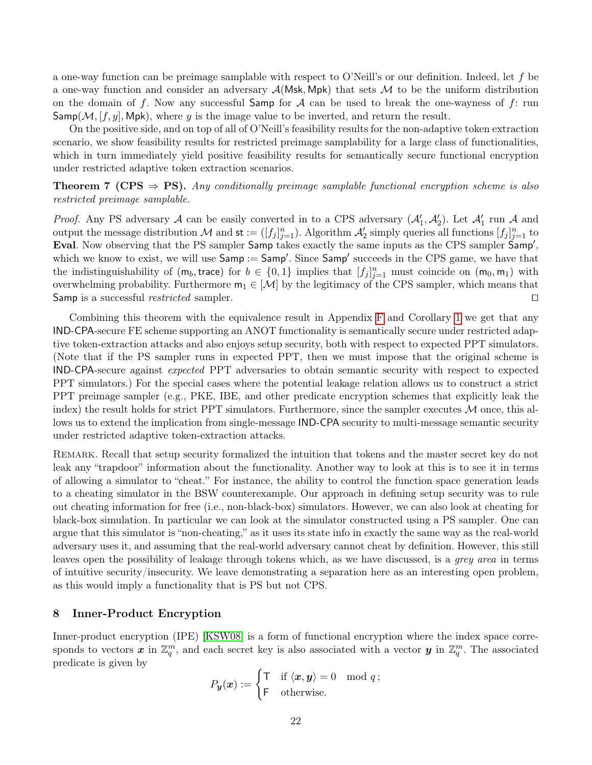<span id="page-21-1"></span>a one-way function can be preimage samplable with respect to O'Neill's or our definition. Indeed, let f be a one-way function and consider an adversary  $\mathcal{A}(Msk, Mpk)$  that sets M to be the uniform distribution on the domain of f. Now any successful Samp for  $A$  can be used to break the one-wayness of f: run Samp( $M$ , [f, y], Mpk), where y is the image value to be inverted, and return the result.

On the positive side, and on top of all of O'Neill's feasibility results for the non-adaptive token extraction scenario, we show feasibility results for restricted preimage samplability for a large class of functionalities, which in turn immediately yield positive feasibility results for semantically secure functional encryption under restricted adaptive token extraction scenarios.

**Theorem 7 (CPS**  $\Rightarrow$  **PS).** Any conditionally preimage samplable functional encryption scheme is also restricted preimage samplable.

*Proof.* Any PS adversary A can be easily converted in to a CPS adversary  $(\mathcal{A}'_1, \mathcal{A}'_2)$ . Let  $\mathcal{A}'_1$  run A and output the message distribution M and  $st := ([f_j]_{j=1}^n)$ . Algorithm  $\mathcal{A}'_2$  simply queries all functions  $[f_j]_{j=1}^n$  to Eval. Now observing that the PS sampler Samp takes exactly the same inputs as the CPS sampler Samp', which we know to exist, we will use  $Samp := Samp'$ . Since  $Samp'$  succeeds in the CPS game, we have that the indistinguishability of  $(m_b, \text{trace})$  for  $b \in \{0, 1\}$  implies that  $[f_j]_{j=1}^n$  must coincide on  $(m_0, m_1)$  with overwhelming probability. Furthermore  $m_1 \in [\mathcal{M}]$  by the legitimacy of the CPS sampler, which means that Samp is a successful *restricted* sampler.

Combining this theorem with the equivalence result in Appendix [F](#page-28-0) and Corollary [1](#page-18-1) we get that any IND-CPA-secure FE scheme supporting an ANOT functionality is semantically secure under restricted adaptive token-extraction attacks and also enjoys setup security, both with respect to expected PPT simulators. (Note that if the PS sampler runs in expected PPT, then we must impose that the original scheme is IND-CPA-secure against expected PPT adversaries to obtain semantic security with respect to expected PPT simulators.) For the special cases where the potential leakage relation allows us to construct a strict PPT preimage sampler (e.g., PKE, IBE, and other predicate encryption schemes that explicitly leak the index) the result holds for strict PPT simulators. Furthermore, since the sampler executes  $\mathcal M$  once, this allows us to extend the implication from single-message IND-CPA security to multi-message semantic security under restricted adaptive token-extraction attacks.

REMARK. Recall that setup security formalized the intuition that tokens and the master secret key do not leak any "trapdoor" information about the functionality. Another way to look at this is to see it in terms of allowing a simulator to "cheat." For instance, the ability to control the function space generation leads to a cheating simulator in the BSW counterexample. Our approach in defining setup security was to rule out cheating information for free (i.e., non-black-box) simulators. However, we can also look at cheating for black-box simulation. In particular we can look at the simulator constructed using a PS sampler. One can argue that this simulator is "non-cheating," as it uses its state info in exactly the same way as the real-world adversary uses it, and assuming that the real-world adversary cannot cheat by definition. However, this still leaves open the possibility of leakage through tokens which, as we have discussed, is a grey area in terms of intuitive security/insecurity. We leave demonstrating a separation here as an interesting open problem, as this would imply a functionality that is PS but not CPS.

## <span id="page-21-0"></span>8 Inner-Product Encryption

Inner-product encryption (IPE) [\[KSW08\]](#page-23-6) is a form of functional encryption where the index space corresponds to vectors  $x$  in  $\mathbb{Z}_q^m$ , and each secret key is also associated with a vector  $y$  in  $\mathbb{Z}_q^m$ . The associated predicate is given by

$$
P_{\boldsymbol{y}}(\boldsymbol{x}) := \begin{cases} \mathsf{T} & \text{if } \langle \boldsymbol{x}, \boldsymbol{y} \rangle = 0 \mod q; \\ \mathsf{F} & \text{otherwise.} \end{cases}
$$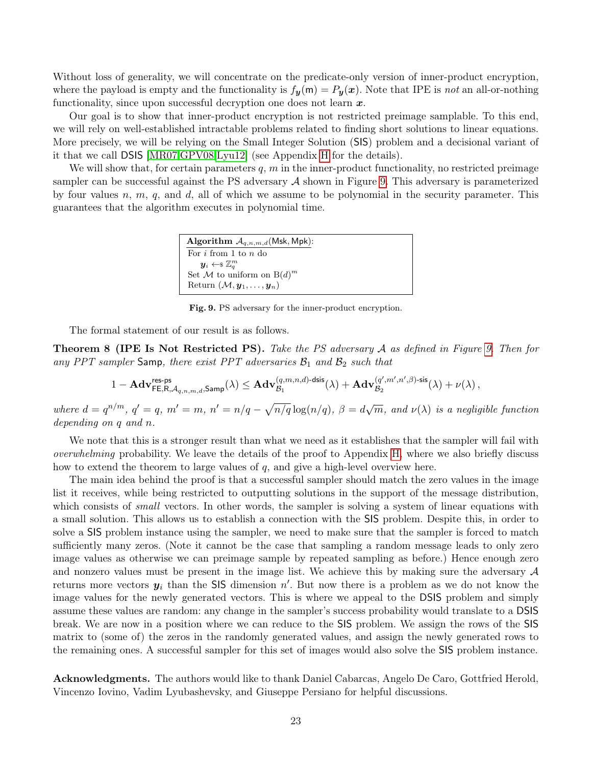<span id="page-22-1"></span>Without loss of generality, we will concentrate on the predicate-only version of inner-product encryption, where the payload is empty and the functionality is  $f_y(m) = P_y(x)$ . Note that IPE is not an all-or-nothing functionality, since upon successful decryption one does not learn  $x$ .

Our goal is to show that inner-product encryption is not restricted preimage samplable. To this end, we will rely on well-established intractable problems related to finding short solutions to linear equations. More precisely, we will be relying on the Small Integer Solution (SIS) problem and a decisional variant of it that we call DSIS [\[MR07](#page-23-15)[,GPV08](#page-23-16)[,Lyu12\]](#page-23-17) (see Appendix [H](#page-31-0) for the details).

We will show that, for certain parameters  $q, m$  in the inner-product functionality, no restricted preimage sampler can be successful against the PS adversary  $A$  shown in Figure [9.](#page-22-0) This adversary is parameterized by four values n, m, q, and d, all of which we assume to be polynomial in the security parameter. This guarantees that the algorithm executes in polynomial time.

| <b>Algorithm</b> $A_{q,n,m,d}(\mathsf{Msk}, \mathsf{Mpk})$ : |
|--------------------------------------------------------------|
| For $i$ from 1 to $n$ do                                     |
| $\boldsymbol{y}_i \leftarrow \mathcal{Z}_a^m$                |
| Set M to uniform on $B(d)^m$                                 |
| Return $(\mathcal{M}, \mathbf{y}_1, \ldots, \mathbf{y}_n)$   |

<span id="page-22-2"></span><span id="page-22-0"></span>Fig. 9. PS adversary for the inner-product encryption.

The formal statement of our result is as follows.

Theorem 8 (IPE Is Not Restricted PS). Take the PS adversary A as defined in Figure [9.](#page-22-0) Then for any PPT sampler Samp, there exist PPT adversaries  $B_1$  and  $B_2$  such that

$$
1-\mathbf{Adv}^{\text{res-ps}}_{\mathsf{FE},\mathsf{R},\mathcal{A}_{q,n,m,d},\mathsf{Samp}}(\lambda) \leq \mathbf{Adv}^{(q,m,n,d)\text{-disis}}_{\mathcal{B}_1}(\lambda)+\mathbf{Adv}^{(q',m',n',\beta)\text{-sis}}_{\mathcal{B}_2}(\lambda)+\nu(\lambda)\,,
$$

where  $d = q^{n/m}$ ,  $q' = q$ ,  $m' = m$ ,  $n' = n/q - \sqrt{n/q} \log(n/q)$ ,  $\beta = d\sqrt{m}$ , and  $\nu(\lambda)$  is a negligible function depending on q and n.

We note that this is a stronger result than what we need as it establishes that the sampler will fail with overwhelming probability. We leave the details of the proof to Appendix [H,](#page-31-0) where we also briefly discuss how to extend the theorem to large values of  $q$ , and give a high-level overview here.

The main idea behind the proof is that a successful sampler should match the zero values in the image list it receives, while being restricted to outputting solutions in the support of the message distribution, which consists of *small* vectors. In other words, the sampler is solving a system of linear equations with a small solution. This allows us to establish a connection with the SIS problem. Despite this, in order to solve a SIS problem instance using the sampler, we need to make sure that the sampler is forced to match sufficiently many zeros. (Note it cannot be the case that sampling a random message leads to only zero image values as otherwise we can preimage sample by repeated sampling as before.) Hence enough zero and nonzero values must be present in the image list. We achieve this by making sure the adversary  $\mathcal A$ returns more vectors  $y_i$  than the SIS dimension  $n'$ . But now there is a problem as we do not know the image values for the newly generated vectors. This is where we appeal to the DSIS problem and simply assume these values are random: any change in the sampler's success probability would translate to a DSIS break. We are now in a position where we can reduce to the SIS problem. We assign the rows of the SIS matrix to (some of) the zeros in the randomly generated values, and assign the newly generated rows to the remaining ones. A successful sampler for this set of images would also solve the SIS problem instance.

Acknowledgments. The authors would like to thank Daniel Cabarcas, Angelo De Caro, Gottfried Herold, Vincenzo Iovino, Vadim Lyubashevsky, and Giuseppe Persiano for helpful discussions.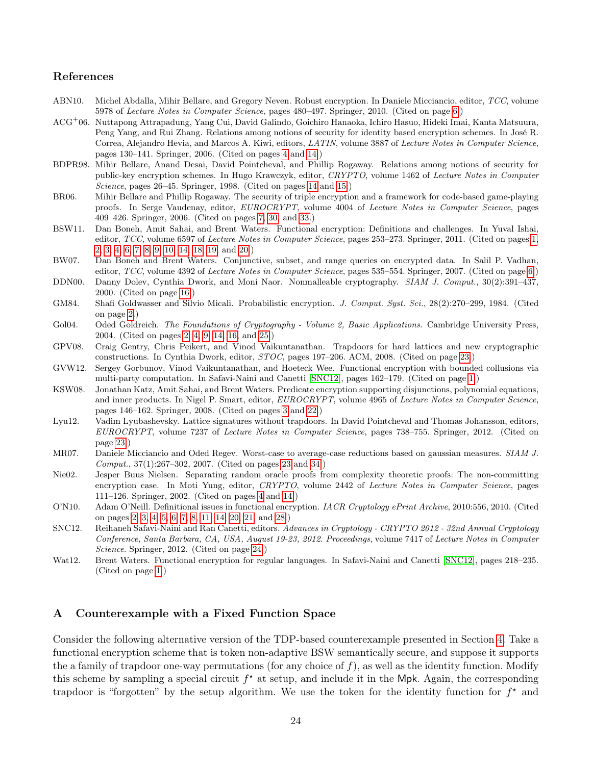#### <span id="page-23-19"></span>References

- <span id="page-23-9"></span>ABN10. Michel Abdalla, Mihir Bellare, and Gregory Neven. Robust encryption. In Daniele Micciancio, editor, TCC, volume 5978 of Lecture Notes in Computer Science, pages 480–497. Springer, 2010. (Cited on page [6.](#page-5-1))
- <span id="page-23-7"></span>ACG<sup>+</sup>06. Nuttapong Attrapadung, Yang Cui, David Galindo, Goichiro Hanaoka, Ichiro Hasuo, Hideki Imai, Kanta Matsuura, Peng Yang, and Rui Zhang. Relations among notions of security for identity based encryption schemes. In José R. Correa, Alejandro Hevia, and Marcos A. Kiwi, editors, LATIN, volume 3887 of Lecture Notes in Computer Science, pages 130–141. Springer, 2006. (Cited on pages [4](#page-3-0) and [14.](#page-13-0))
- <span id="page-23-13"></span>BDPR98. Mihir Bellare, Anand Desai, David Pointcheval, and Phillip Rogaway. Relations among notions of security for public-key encryption schemes. In Hugo Krawczyk, editor, CRYPTO, volume 1462 of Lecture Notes in Computer Science, pages 26–45. Springer, 1998. (Cited on pages [14](#page-13-0) and [15.](#page-14-1))
- <span id="page-23-11"></span>BR06. Mihir Bellare and Phillip Rogaway. The security of triple encryption and a framework for code-based game-playing proofs. In Serge Vaudenay, editor, EUROCRYPT, volume 4004 of Lecture Notes in Computer Science, pages 409–426. Springer, 2006. (Cited on pages [7,](#page-6-3) [30,](#page-29-1) and [33.](#page-32-0))
- <span id="page-23-0"></span>BSW11. Dan Boneh, Amit Sahai, and Brent Waters. Functional encryption: Definitions and challenges. In Yuval Ishai, editor, TCC, volume 6597 of Lecture Notes in Computer Science, pages 253–273. Springer, 2011. (Cited on pages [1,](#page-0-0) [2,](#page-1-0) [3,](#page-2-0) [4,](#page-3-0) [6,](#page-5-1) [7,](#page-6-3) [8,](#page-7-1) [9,](#page-8-3) [10,](#page-9-1) [14,](#page-13-0) [18,](#page-17-2) [19,](#page-18-2) and [20.](#page-19-1))
- <span id="page-23-10"></span>BW07. Dan Boneh and Brent Waters. Conjunctive, subset, and range queries on encrypted data. In Salil P. Vadhan, editor, TCC, volume 4392 of Lecture Notes in Computer Science, pages 535–554. Springer, 2007. (Cited on page [6.](#page-5-1))
- <span id="page-23-14"></span>DDN00. Danny Dolev, Cynthia Dwork, and Moni Naor. Nonmalleable cryptography. SIAM J. Comput., 30(2):391–437, 2000. (Cited on page [16.](#page-15-1))
- <span id="page-23-4"></span>GM84. Shafi Goldwasser and Silvio Micali. Probabilistic encryption. J. Comput. Syst. Sci., 28(2):270–299, 1984. (Cited on page [2.](#page-1-0))
- <span id="page-23-3"></span>Gol04. Oded Goldreich. The Foundations of Cryptography - Volume 2, Basic Applications. Cambridge University Press, 2004. (Cited on pages [2,](#page-1-0) [4,](#page-3-0) [9,](#page-8-3) [14,](#page-13-0) [16,](#page-15-1) and [25.](#page-24-1))
- <span id="page-23-16"></span>GPV08. Craig Gentry, Chris Peikert, and Vinod Vaikuntanathan. Trapdoors for hard lattices and new cryptographic constructions. In Cynthia Dwork, editor, STOC, pages 197–206. ACM, 2008. (Cited on page [23.](#page-22-1))
- <span id="page-23-1"></span>GVW12. Sergey Gorbunov, Vinod Vaikuntanathan, and Hoeteck Wee. Functional encryption with bounded collusions via multi-party computation. In Safavi-Naini and Canetti [\[SNC12\]](#page-23-18), pages 162–179. (Cited on page [1.](#page-0-0))
- <span id="page-23-6"></span>KSW08. Jonathan Katz, Amit Sahai, and Brent Waters. Predicate encryption supporting disjunctions, polynomial equations, and inner products. In Nigel P. Smart, editor, EUROCRYPT, volume 4965 of Lecture Notes in Computer Science, pages 146–162. Springer, 2008. (Cited on pages [3](#page-2-0) and [22.](#page-21-1))
- <span id="page-23-17"></span>Lyu12. Vadim Lyubashevsky. Lattice signatures without trapdoors. In David Pointcheval and Thomas Johansson, editors, EUROCRYPT, volume 7237 of Lecture Notes in Computer Science, pages 738–755. Springer, 2012. (Cited on page [23.](#page-22-1))
- <span id="page-23-15"></span>MR07. Daniele Micciancio and Oded Regev. Worst-case to average-case reductions based on gaussian measures. SIAM J. Comput., 37(1):267–302, 2007. (Cited on pages [23](#page-22-1) and [34.](#page-33-0))
- <span id="page-23-8"></span>Nie02. Jesper Buus Nielsen. Separating random oracle proofs from complexity theoretic proofs: The non-committing encryption case. In Moti Yung, editor, CRYPTO, volume 2442 of Lecture Notes in Computer Science, pages 111–126. Springer, 2002. (Cited on pages [4](#page-3-0) and [14.](#page-13-0))
- <span id="page-23-5"></span>O'N10. Adam O'Neill. Definitional issues in functional encryption. *IACR Cryptology ePrint Archive*, 2010:556, 2010. (Cited on pages [2,](#page-1-0) [3,](#page-2-0) [4,](#page-3-0) [5,](#page-4-1) [6,](#page-5-1) [7,](#page-6-3) [8,](#page-7-1) [11,](#page-10-2) [14,](#page-13-0) [20,](#page-19-1) [21,](#page-20-1) and [28.](#page-27-1))
- <span id="page-23-18"></span>SNC12. Reihaneh Safavi-Naini and Ran Canetti, editors. Advances in Cryptology - CRYPTO 2012 - 32nd Annual Cryptology Conference, Santa Barbara, CA, USA, August 19-23, 2012. Proceedings, volume 7417 of Lecture Notes in Computer Science. Springer, 2012. (Cited on page [24.](#page-23-19))
- <span id="page-23-2"></span>Wat12. Brent Waters. Functional encryption for regular languages. In Safavi-Naini and Canetti [\[SNC12\]](#page-23-18), pages 218–235. (Cited on page [1.](#page-0-0))

## <span id="page-23-12"></span>A Counterexample with a Fixed Function Space

Consider the following alternative version of the TDP-based counterexample presented in Section [4.](#page-8-0) Take a functional encryption scheme that is token non-adaptive BSW semantically secure, and suppose it supports the a family of trapdoor one-way permutations (for any choice of  $f$ ), as well as the identity function. Modify this scheme by sampling a special circuit  $f^*$  at setup, and include it in the Mpk. Again, the corresponding trapdoor is "forgotten" by the setup algorithm. We use the token for the identity function for  $f^*$  and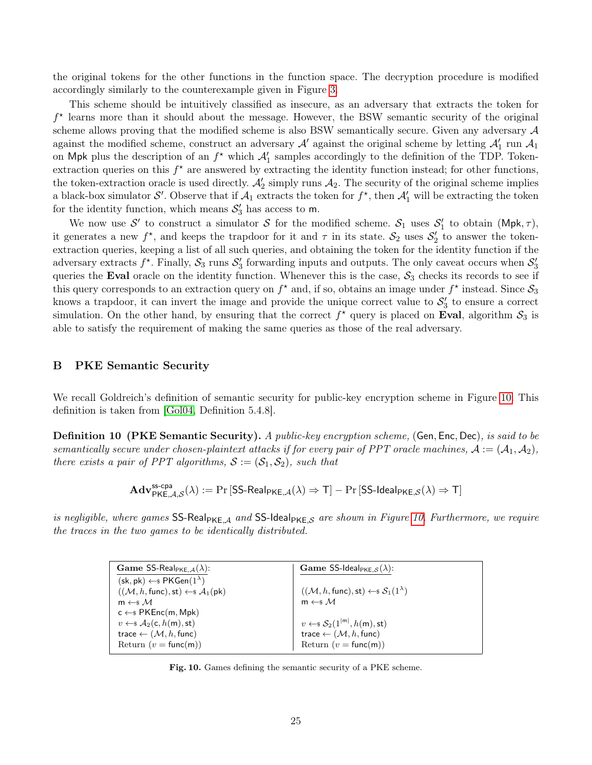<span id="page-24-1"></span>the original tokens for the other functions in the function space. The decryption procedure is modified accordingly similarly to the counterexample given in Figure [3.](#page-9-0)

This scheme should be intuitively classified as insecure, as an adversary that extracts the token for  $f^*$  learns more than it should about the message. However, the BSW semantic security of the original scheme allows proving that the modified scheme is also BSW semantically secure. Given any adversary  $\mathcal A$ against the modified scheme, construct an adversary  $\mathcal{A}'$  against the original scheme by letting  $\mathcal{A}'_1$  run  $\mathcal{A}_1$ on Mpk plus the description of an  $f^*$  which  $\mathcal{A}'_1$  samples accordingly to the definition of the TDP. Tokenextraction queries on this  $f^*$  are answered by extracting the identity function instead; for other functions, the token-extraction oracle is used directly.  $\mathcal{A}'_2$  simply runs  $\mathcal{A}_2$ . The security of the original scheme implies a black-box simulator  $\mathcal{S}'$ . Observe that if  $\mathcal{A}_1$  extracts the token for  $f^*$ , then  $\mathcal{A}'_1$  will be extracting the token for the identity function, which means  $S'_3$  has access to m.

We now use S' to construct a simulator S for the modified scheme.  $S_1$  uses  $S'_1$  to obtain  $(Mpk, \tau)$ , it generates a new  $f^*$ , and keeps the trapdoor for it and  $\tau$  in its state.  $S_2$  uses  $S'_2$  to answer the tokenextraction queries, keeping a list of all such queries, and obtaining the token for the identity function if the adversary extracts  $f^*$ . Finally,  $S_3$  runs  $S'_3$  forwarding inputs and outputs. The only caveat occurs when  $S'_3$ queries the Eval oracle on the identity function. Whenever this is the case,  $S_3$  checks its records to see if this query corresponds to an extraction query on  $f^*$  and, if so, obtains an image under  $f^*$  instead. Since  $S_3$ knows a trapdoor, it can invert the image and provide the unique correct value to  $S'_3$  to ensure a correct simulation. On the other hand, by ensuring that the correct  $f^*$  query is placed on **Eval**, algorithm  $S_3$  is able to satisfy the requirement of making the same queries as those of the real adversary.

#### <span id="page-24-0"></span>B PKE Semantic Security

We recall Goldreich's definition of semantic security for public-key encryption scheme in Figure [10.](#page-24-2) This definition is taken from [\[Gol04,](#page-23-3) Definition 5.4.8].

**Definition 10 (PKE Semantic Security).** A public-key encryption scheme, (Gen, Enc, Dec), is said to be semantically secure under chosen-plaintext attacks if for every pair of PPT oracle machines,  $\mathcal{A} := (\mathcal{A}_1, \mathcal{A}_2)$ , there exists a pair of PPT algorithms,  $S := (S_1, S_2)$ , such that

$$
\mathbf{Adv}_{\mathsf{PKE},\mathcal{A},\mathcal{S}}^{\mathsf{ss-cpa}}(\lambda) := \Pr\left[\mathsf{SS}\text{-}\mathsf{Real}_{\mathsf{PKE},\mathcal{A}}(\lambda) \Rightarrow \mathsf{T}\right] - \Pr\left[\mathsf{SS}\text{-}\mathsf{Ideal}_{\mathsf{PKE},\mathcal{S}}(\lambda) \Rightarrow \mathsf{T}\right]
$$

is negligible, where games SS-Real<sub>PKE,A</sub> and SS-Ideal<sub>PKE,S</sub> are shown in Figure [10.](#page-24-2) Furthermore, we require the traces in the two games to be identically distributed.

| <b>Game SS-Real</b> $PKE, \mathcal{A}(\lambda)$ :                                 | <b>Game SS-Ideal</b> $p_{KE,S}(\lambda)$ :                                                                                     |
|-----------------------------------------------------------------------------------|--------------------------------------------------------------------------------------------------------------------------------|
| $(\mathsf{sk}, \mathsf{pk}) \leftarrow \mathsf{s} \; \mathsf{PKGen}(1^{\lambda})$ |                                                                                                                                |
| $((\mathcal{M}, h, \text{func}), \text{st}) \leftarrow \{A_1(\text{pk})\}$        | $((\mathcal{M}, h, \text{func}), \text{st}) \leftarrow \mathcal{S}_1(1^{\lambda})$                                             |
| $m \leftarrow s \mathcal{M}$                                                      | $m \leftarrow s$ M                                                                                                             |
| $c \leftarrow s$ PKEnc(m, Mpk)                                                    |                                                                                                                                |
| $v \leftarrow \mathcal{A}_2(c, h(m), st)$                                         | $v \leftarrow \mathcal{S}_2(1^{ \mathsf{m} }, h(\mathsf{m}), \mathsf{st})$<br>trace $\leftarrow (\mathcal{M}, h, \text{func})$ |
| trace $\leftarrow (\mathcal{M}, h, \text{func})$                                  |                                                                                                                                |
| Return $(v = \text{func}(m))$                                                     | Return ( $v = \text{func}(m)$ )                                                                                                |

<span id="page-24-2"></span>Fig. 10. Games defining the semantic security of a PKE scheme.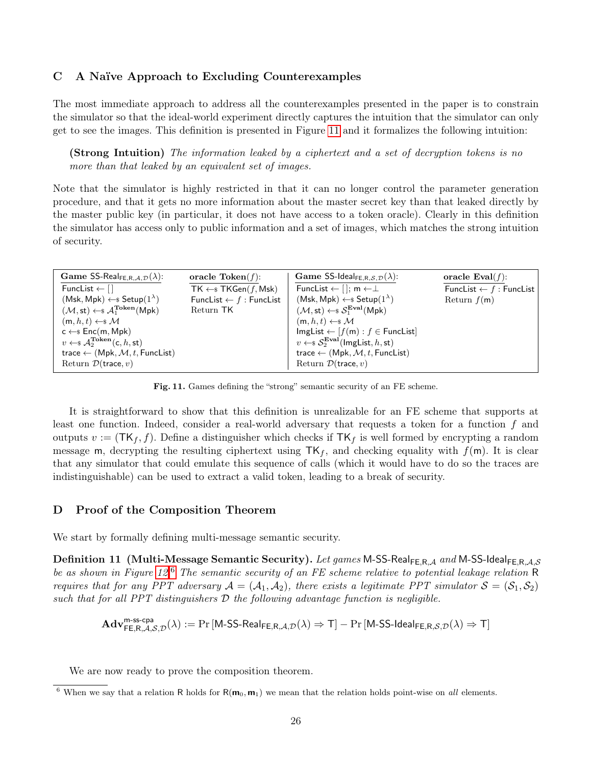## <span id="page-25-1"></span>C A Naïve Approach to Excluding Counterexamples

The most immediate approach to address all the counterexamples presented in the paper is to constrain the simulator so that the ideal-world experiment directly captures the intuition that the simulator can only get to see the images. This definition is presented in Figure [11](#page-25-2) and it formalizes the following intuition:

(Strong Intuition) The information leaked by a ciphertext and a set of decryption tokens is no more than that leaked by an equivalent set of images.

Note that the simulator is highly restricted in that it can no longer control the parameter generation procedure, and that it gets no more information about the master secret key than that leaked directly by the master public key (in particular, it does not have access to a token oracle). Clearly in this definition the simulator has access only to public information and a set of images, which matches the strong intuition of security.

| <b>Game SS-Real</b> FE, R, $A, D(\lambda)$ :                                        | oracle Token $(f)$ :               | <b>Game SS-Ideal</b> FE, $R, S, D(\lambda)$ :                                        | oracle $\text{Eval}(f)$ :          |
|-------------------------------------------------------------------------------------|------------------------------------|--------------------------------------------------------------------------------------|------------------------------------|
| FuncList $\leftarrow$ []                                                            | $TK \leftarrow$ TKGen $(f, Msk)$   | FuncList $\leftarrow$ []; m $\leftarrow \perp$                                       | FuncList $\leftarrow f$ : FuncList |
| $(Msk, Mpk) \leftarrow$ Setup $(1^{\lambda})$                                       | FuncList $\leftarrow f$ : FuncList | $(Msk, Mpk) \leftarrow$ Setup $(1^{\lambda})$                                        | Return $f(m)$                      |
| $(\mathcal{M}, \mathsf{st}) \leftarrow \mathsf{A}_1^{\mathbf{Token}}(\mathsf{Mpk})$ | Return TK                          | $(\mathcal{M}, \mathsf{st}) \leftarrow \mathsf{s} S_1^{\mathbf{Eval}}(\mathsf{Mpk})$ |                                    |
| $(m, h, t) \leftarrow \mathcal{M}$                                                  |                                    | $(m, h, t) \leftarrow \mathcal{M}$                                                   |                                    |
| $c \leftarrow s \mathsf{Enc}(m, \mathsf{Mpk})$                                      |                                    | $Imglist \leftarrow [f(m): f \in FunClist]$                                          |                                    |
| $v \leftarrow \mathcal{A}_2^{\text{Token}}(c, h, \text{st})$                        |                                    | $v \leftarrow$ $S_2^{\text{Eval}}$ (ImgList, h, st)                                  |                                    |
| trace $\leftarrow$ (Mpk, M, t, FuncList)                                            |                                    | trace $\leftarrow$ (Mpk, M, t, FuncList)                                             |                                    |
| Return $\mathcal{D}$ (trace, v)                                                     |                                    | Return $\mathcal{D}$ (trace, v)                                                      |                                    |

<span id="page-25-2"></span>Fig. 11. Games defining the "strong" semantic security of an FE scheme.

It is straightforward to show that this definition is unrealizable for an FE scheme that supports at least one function. Indeed, consider a real-world adversary that requests a token for a function f and outputs  $v := (TK_f, f)$ . Define a distinguisher which checks if  $TK_f$  is well formed by encrypting a random message m, decrypting the resulting ciphertext using  $TK_f$ , and checking equality with  $f(m)$ . It is clear that any simulator that could emulate this sequence of calls (which it would have to do so the traces are indistinguishable) can be used to extract a valid token, leading to a break of security.

#### <span id="page-25-0"></span>D Proof of the Composition Theorem

We start by formally defining multi-message semantic security.

Definition 11 (Multi-Message Semantic Security). Let games M-SS-RealFE, R, A and M-SS-IdealFE, R, A, S be as shown in Figure [12.](#page-26-0)<sup>[6](#page-25-3)</sup> The semantic security of an FE scheme relative to potential leakage relation R requires that for any PPT adversary  $A = (A_1, A_2)$ , there exists a legitimate PPT simulator  $S = (S_1, S_2)$ such that for all PPT distinguishers  $D$  the following advantage function is negligible.

$$
\mathbf{Adv}_{\mathsf{FE},\mathsf{R},\mathcal{A},\mathcal{S},\mathcal{D}}^{\mathsf{m}\text{-ss-cpa}}(\lambda) := \Pr\left[\mathsf{M}\text{-SS}\text{-}\mathsf{Real}_{\mathsf{FE},\mathsf{R},\mathcal{A},\mathcal{D}}(\lambda) \Rightarrow \mathsf{T}\right] - \Pr\left[\mathsf{M}\text{-SS}\text{-}\mathsf{Ideal}_{\mathsf{FE},\mathsf{R},\mathcal{S},\mathcal{D}}(\lambda) \Rightarrow \mathsf{T}\right]
$$

We are now ready to prove the composition theorem.

<span id="page-25-3"></span><sup>&</sup>lt;sup>6</sup> When we say that a relation R holds for  $R(m_0, m_1)$  we mean that the relation holds point-wise on all elements.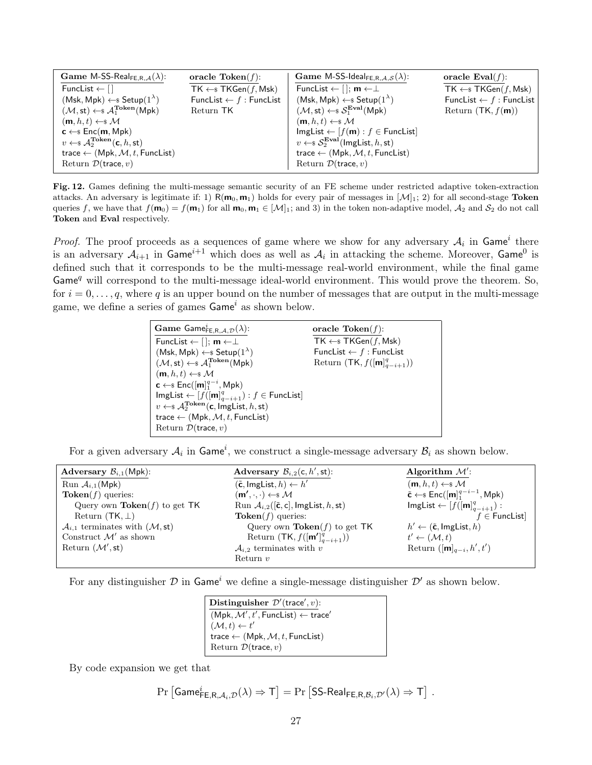| <b>Game M-SS-Real</b> FE, $R, A(\lambda)$ :                                                     | oracle Token $(f)$ :               | <b>Game M-SS-Ideal</b> FE, $R, A, S(\lambda)$ :                                      | oracle $\text{Eval}(f)$ :          |
|-------------------------------------------------------------------------------------------------|------------------------------------|--------------------------------------------------------------------------------------|------------------------------------|
| FuncList $\leftarrow$ []                                                                        | $TK \leftarrow$ TKGen $(f, Msk)$   | FuncList $\leftarrow$ []; <b>m</b> $\leftarrow \perp$                                | $TK \leftarrow s$ TKGen $(f, Msk)$ |
| $(Msk, Mpk) \leftarrow s$ Setup $(1^{\lambda})$                                                 | FuncList $\leftarrow f$ : FuncList | $(Msk, Mpk) \leftarrow s$ Setup $(1^{\lambda})$                                      | FuncList $\leftarrow f$ : FuncList |
| $(\mathcal{M}, \mathsf{st}) \leftarrow \mathsf{s} \mathcal{A}_1^{\mathbf{Token}}(\mathsf{Mpk})$ | Return TK                          | $(\mathcal{M}, \mathsf{st}) \leftarrow \mathsf{s} S_1^{\mathbf{Eval}}(\mathsf{Mpk})$ | Return $(TK, f(m))$                |
| $(m, h, t) \leftarrow \mathcal{A}$                                                              |                                    | $(m, h, t) \leftarrow \mathcal{M}$                                                   |                                    |
| $c \leftarrow s \mathsf{Enc}(\mathsf{m}, \mathsf{Mpk})$                                         |                                    | $Imglist \leftarrow [f(m) : f \in Funclist]$                                         |                                    |
| $v \leftarrow \mathcal{A}_2^{\text{Token}}(\mathbf{c}, h, \mathsf{st})$                         |                                    | $v \leftarrow \mathcal{S}_2^{\text{Eval}}(\text{ImgList}, h, \text{st})$             |                                    |
| trace $\leftarrow$ (Mpk, M, t, FuncList)                                                        |                                    | trace $\leftarrow$ (Mpk, M, t, FuncList)                                             |                                    |
| Return $\mathcal{D}$ (trace, v)                                                                 |                                    | Return $\mathcal{D}$ (trace, v)                                                      |                                    |

<span id="page-26-0"></span>Fig. 12. Games defining the multi-message semantic security of an FE scheme under restricted adaptive token-extraction attacks. An adversary is legitimate if: 1)  $R(m_0, m_1)$  holds for every pair of messages in  $[\mathcal{M}]_1$ ; 2) for all second-stage Token queries f, we have that  $f(\mathbf{m}_0) = f(\mathbf{m}_1)$  for all  $\mathbf{m}_0, \mathbf{m}_1 \in [\mathcal{M}]_1$ ; and 3) in the token non-adaptive model,  $\mathcal{A}_2$  and  $\mathcal{S}_2$  do not call Token and Eval respectively.

*Proof.* The proof proceeds as a sequences of game where we show for any adversary  $A_i$  in Game<sup>i</sup> there is an adversary  $A_{i+1}$  in  $\mathsf{Game}^{i+1}$  which does as well as  $A_i$  in attacking the scheme. Moreover,  $\mathsf{Game}^0$  is defined such that it corresponds to be the multi-message real-world environment, while the final game  $Game<sup>q</sup>$  will correspond to the multi-message ideal-world environment. This would prove the theorem. So, for  $i = 0, \ldots, q$ , where q is an upper bound on the number of messages that are output in the multi-message game, we define a series of games  $Game<sup>i</sup>$  as shown below.

| Game Game <sub>FE.R.A.D</sub> ( $\lambda$ ):                                          | oracle $\textbf{Token}(f)$ :       |
|---------------------------------------------------------------------------------------|------------------------------------|
| FuncList $\leftarrow$ []; <b>m</b> $\leftarrow \perp$                                 | $TK \leftarrow$ TKGen $(f, Msk)$   |
| $(Msk, Mpk) \leftarrow s$ Setup $(1^{\lambda})$                                       | FuncList $\leftarrow f$ : FuncList |
| $(\mathcal{M}, \mathsf{st}) \leftarrow \mathsf{A}_1^{\mathbf{Token}}(\mathsf{Mpk})$   | Return $(TK, f([m]_{a=i+1}^q))$    |
| $(m, h, t) \leftarrow \mathcal{M}$                                                    |                                    |
| $\mathbf{c} \leftarrow \mathbb{s}$ Enc([m] $_1^{q-i}$ , Mpk)                          |                                    |
| $\mathsf{ImgList} \leftarrow [f([\mathbf{m}]_{a-i+1}^q): f \in \mathsf{FuncList}]$    |                                    |
| $v \leftarrow \mathcal{A}_2^{\text{Token}}(\textbf{c}, \text{ImgList}, h, \text{st})$ |                                    |
| trace $\leftarrow$ (Mpk, M, t, FuncList)                                              |                                    |
| Return $\mathcal{D}$ (trace, v)                                                       |                                    |

For a given adversary  $A_i$  in Game<sup>*i*</sup>, we construct a single-message adversary  $B_i$  as shown below.

| Adversary $\mathcal{B}_{i,1}(\mathsf{Mpk})$ :                    | Adversary $\mathcal{B}_{i,2}(\mathsf{c},h',\mathsf{st})$ :           | Algorithm $\mathcal{M}'$ :                                                              |
|------------------------------------------------------------------|----------------------------------------------------------------------|-----------------------------------------------------------------------------------------|
| Run $A_{i,1}(\mathsf{Mpk})$                                      | $(\tilde{\mathbf{c}}, \mathsf{ImgList}, h) \leftarrow h'$            | $(m, h, t) \leftarrow \mathcal{A}$                                                      |
| <b>Token</b> $(f)$ queries:                                      | $(m', \cdot, \cdot) \leftarrow \mathcal{A}$                          | $\tilde{\mathbf{c}} \leftarrow \mathbb{s}$ Enc $( \mathbf{m} _1^{q-i-1}, \mathsf{Mpk})$ |
| Query own <b>Token</b> $(f)$ to get TK                           | Run $A_{i,2}$ ([ $\tilde{\mathbf{c}}, \mathbf{c}$ ], ImgList, h, st) | $\mathsf{ImgList} \leftarrow [f([\mathbf{m}]_{a-i+1}^q):$                               |
| Return $(TK, \perp)$                                             | <b>Token</b> $(f)$ queries:                                          | $f \in$ FuncList                                                                        |
| $\mathcal{A}_{i,1}$ terminates with $(\mathcal{M}, \mathsf{st})$ | Query own <b>Token</b> $(f)$ to get TK                               | $h' \leftarrow (\tilde{\mathbf{c}}, \mathsf{ImgList}, h)$                               |
| Construct $\mathcal{M}'$ as shown                                | Return $(TK, f([m']_{q-i+1}^q))$                                     | $t' \leftarrow (\mathcal{M}, t)$                                                        |
| Return $(\mathcal{M}', \mathsf{st})$                             | $\mathcal{A}_{i,2}$ terminates with v                                | Return $([m]_{q-i}, h', t')$                                                            |
|                                                                  | Return v                                                             |                                                                                         |

For any distinguisher  $D$  in Game<sup>i</sup> we define a single-message distinguisher  $D'$  as shown below.

Distinguisher  $\mathcal{D}'$ (trace', v):  $(Mpk, M', t', Funclist) \leftarrow trace'$  $(\mathcal{M}, t) \leftarrow t'$ trace  $\leftarrow$  (Mpk,  $\mathcal{M}, t$ , FuncList) Return  $\mathcal{D}$ (trace, v)

By code expansion we get that

$$
\Pr\left[\mathsf{Game}^i_{\mathsf{FE}, \mathsf{R}, \mathcal{A}_i, \mathcal{D}}(\lambda) \Rightarrow \mathsf{T}\right] = \Pr\left[\mathsf{SS}\text{-}\mathsf{Real}_{\mathsf{FE}, \mathsf{R}, \mathcal{B}_i, \mathcal{D}'}(\lambda) \Rightarrow \mathsf{T}\right] \,.
$$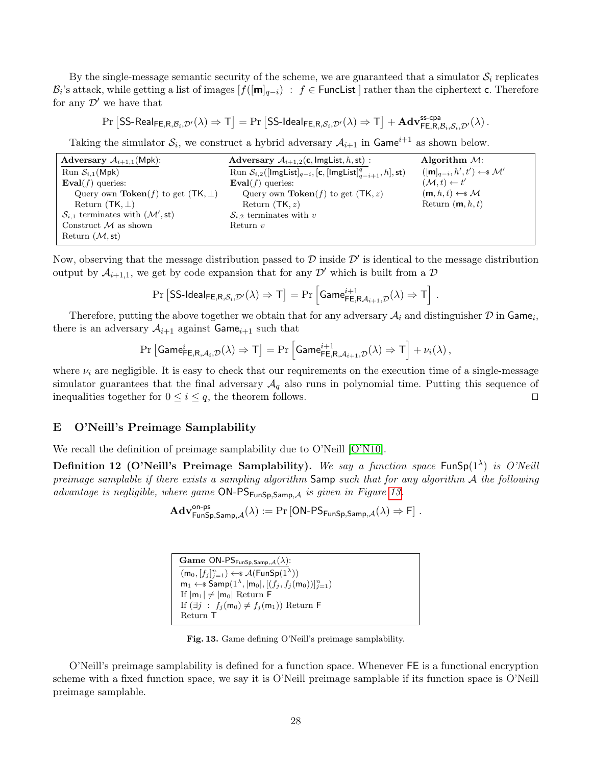<span id="page-27-1"></span>By the single-message semantic security of the scheme, we are guaranteed that a simulator  $S_i$  replicates  $\mathcal{B}_i$ 's attack, while getting a list of images  $[f([\mathbf{m}]_{q-i}) : f \in \mathsf{Functist}$  ] rather than the ciphertext c. Therefore for any  $\mathcal{D}'$  we have that

$$
\Pr\left[\mathsf{SS}\text{-}\mathsf{Real}_{\mathsf{FE},\mathsf{R},\mathcal{B}_i,\mathcal{D}'}(\lambda)\Rightarrow \mathsf{T}\right] = \Pr\left[\mathsf{SS}\text{-}\mathsf{Ideal}_{\mathsf{FE},\mathsf{R},\mathcal{S}_i,\mathcal{D}'}(\lambda)\Rightarrow \mathsf{T}\right] + \mathbf{Adv}_{\mathsf{FE},\mathsf{R},\mathcal{B}_i,\mathcal{S}_i,\mathcal{D}'}^{\mathsf{ss-cpa}}(\lambda)\,.
$$

Taking the simulator  $S_i$ , we construct a hybrid adversary  $A_{i+1}$  in Game<sup> $i+1$ </sup> as shown below.

| Adversary $A_{i+1,1}(\text{Mpk})$ :                     | Adversary $A_{i+1,2}$ (c, ImgList, h, st) :                              | Algorithm $\mathcal{M}$ :                             |
|---------------------------------------------------------|--------------------------------------------------------------------------|-------------------------------------------------------|
| Run $S_{i,1}(\mathsf{Mpk})$                             | Run $S_{i,2}$ ([ImgList] $_{q-i}$ , [c, [ImgList] $_{q-i+1}^q$ , h], st) | $(\mathbf{m} _{q-i}, h', t') \leftarrow \mathcal{M}'$ |
| $\textbf{Eval}(f)$ queries:                             | $\textbf{Eval}(f)$ queries:                                              | $(\mathcal{M}, t) \leftarrow t'$                      |
| Query own <b>Token</b> $(f)$ to get $(TK, \perp)$       | Query own <b>Token</b> $(f)$ to get $(TK, z)$                            | $(m, h, t) \leftarrow s \mathcal{M}$                  |
| Return $(TK, \perp)$                                    | Return $(TK, z)$                                                         | Return $(m, h, t)$                                    |
| $S_{i,1}$ terminates with $(\mathcal{M}', \mathsf{st})$ | $S_{i,2}$ terminates with v                                              |                                                       |
| Construct $M$ as shown                                  | Return v                                                                 |                                                       |
| Return $(M, st)$                                        |                                                                          |                                                       |

Now, observing that the message distribution passed to  $D$  inside  $D'$  is identical to the message distribution output by  $\mathcal{A}_{i+1,1}$ , we get by code expansion that for any  $\mathcal{D}'$  which is built from a  $\mathcal{D}$ 

$$
\Pr\left[\mathsf{SS}\text{-} \mathsf{Ideal}_{\mathsf{FE},\mathsf{R},\mathcal{S}_i,\mathcal{D}'}(\lambda) \Rightarrow \mathsf{T}\right] = \Pr\left[\mathsf{Game}^{i+1}_{\mathsf{FE},\mathsf{R}\mathcal{A}_{i+1},\mathcal{D}}(\lambda) \Rightarrow \mathsf{T}\right]\,.
$$

Therefore, putting the above together we obtain that for any adversary  $\mathcal{A}_i$  and distinguisher  $\mathcal D$  in Game $_i,$ there is an adversary  $A_{i+1}$  against Game<sub>i+1</sub> such that

$$
\Pr\left[\mathsf{Game}_{\mathsf{FE},\mathsf{R},\mathcal{A}_i,\mathcal{D}}^i(\lambda) \Rightarrow \mathsf{T}\right] = \Pr\left[\mathsf{Game}_{\mathsf{FE},\mathsf{R},\mathcal{A}_{i+1},\mathcal{D}}^{i+1}(\lambda) \Rightarrow \mathsf{T}\right] + \nu_i(\lambda)\,,
$$

where  $\nu_i$  are negligible. It is easy to check that our requirements on the execution time of a single-message simulator guarantees that the final adversary  $A_q$  also runs in polynomial time. Putting this sequence of inequalities together for  $0 \le i \le q$ , the theorem follows.

## <span id="page-27-0"></span>E O'Neill's Preimage Samplability

We recall the definition of preimage samplability due to O'Neill [\[O'N10\]](#page-23-5).

Definition 12 (O'Neill's Preimage Samplability). We say a function space FunSp(1<sup> $\lambda$ </sup>) is O'Neill preimage samplable if there exists a sampling algorithm  $S$ amp such that for any algorithm  $A$  the following advantage is negligible, where game  $ON-PS_{FunSp, Samp, \mathcal{A}}$  is given in Figure [13.](#page-27-2)

$$
\mathbf{Adv}^{\text{on-ps}}_{\mathsf{FunSp},\mathsf{Samp},\mathcal{A}}(\lambda) := \Pr\left[\mathsf{ON}\text{-}\mathsf{PS}_{\mathsf{FunSp},\mathsf{Samp},\mathcal{A}}(\lambda) \Rightarrow \mathsf{F}\right]\,.
$$

Game ON-PS $_{\text{FunSp,Samp},\mathcal{A}}(\lambda)$ :  $(m_0, [f_j]_{j=1}^n) \leftarrow \mathcal{A}(\mathsf{FunSp}(1^\lambda))$  $\mathsf{m}_1 \leftarrow \$  Samp $(1^{\lambda}, |\mathsf{m}_0|, [(f_j, f_j(\mathsf{m}_0))]_{j=1}^n)$ If  $|m_1| \neq |m_0|$  Return F If  $(\exists j : f_j(m_0) \neq f_j(m_1))$  Return F Return T

<span id="page-27-2"></span>Fig. 13. Game defining O'Neill's preimage samplability.

O'Neill's preimage samplability is defined for a function space. Whenever FE is a functional encryption scheme with a fixed function space, we say it is O'Neill preimage samplable if its function space is O'Neill preimage samplable.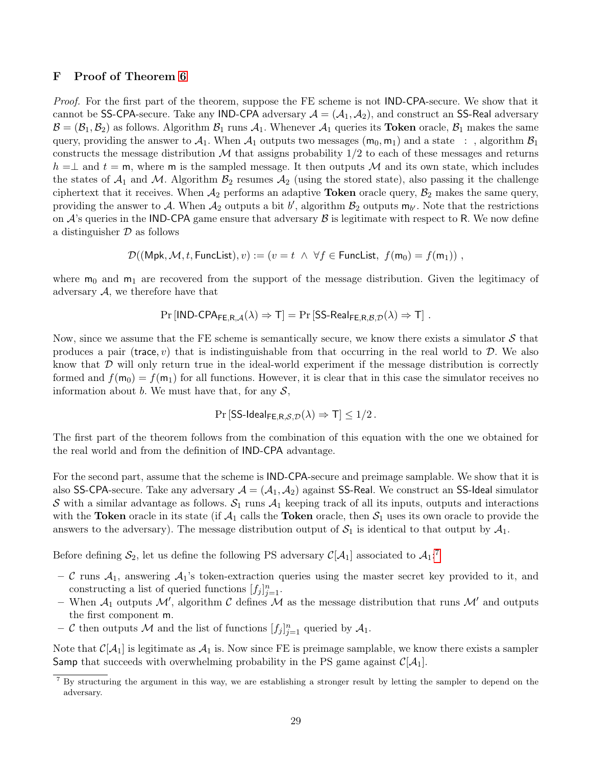#### <span id="page-28-0"></span>F Proof of Theorem [6](#page-20-2)

Proof. For the first part of the theorem, suppose the FE scheme is not **IND-CPA**-secure. We show that it cannot be SS-CPA-secure. Take any IND-CPA adversary  $\mathcal{A} = (\mathcal{A}_1, \mathcal{A}_2)$ , and construct an SS-Real adversary  $\mathcal{B} = (\mathcal{B}_1, \mathcal{B}_2)$  as follows. Algorithm  $\mathcal{B}_1$  runs  $\mathcal{A}_1$ . Whenever  $\mathcal{A}_1$  queries its **Token** oracle,  $\mathcal{B}_1$  makes the same query, providing the answer to  $A_1$ . When  $A_1$  outputs two messages ( $m_0$ ,  $m_1$ ) and a state : , algorithm  $B_1$ constructs the message distribution  $M$  that assigns probability  $1/2$  to each of these messages and returns  $h = \perp$  and  $t = m$ , where m is the sampled message. It then outputs M and its own state, which includes the states of  $A_1$  and M. Algorithm  $B_2$  resumes  $A_2$  (using the stored state), also passing it the challenge ciphertext that it receives. When  $A_2$  performs an adaptive **Token** oracle query,  $B_2$  makes the same query, providing the answer to A. When  $A_2$  outputs a bit b', algorithm  $B_2$  outputs  $m_{b'}$ . Note that the restrictions on  $\mathcal{A}$ 's queries in the IND-CPA game ensure that adversary  $\mathcal{B}$  is legitimate with respect to R. We now define a distinguisher  $\mathcal D$  as follows

$$
\mathcal{D}((\mathsf{Mpk},\mathcal{M},t,\mathsf{FuncList}),v):=(v=t\ \wedge\ \forall f\in\mathsf{FuncList},\ f(\mathsf{m}_0)=f(\mathsf{m}_1))\ ,
$$

where  $m_0$  and  $m_1$  are recovered from the support of the message distribution. Given the legitimacy of adversary  $A$ , we therefore have that

$$
\Pr\left[\mathsf{IND}\text{-}\mathsf{CPA}_{\mathsf{FE},R,\mathcal{A}}(\lambda)\Rightarrow\mathsf{T}\right]=\Pr\left[\mathsf{SS}\text{-}\mathsf{Real}_{\mathsf{FE},R,\mathcal{B},\mathcal{D}}(\lambda)\Rightarrow\mathsf{T}\right].
$$

Now, since we assume that the FE scheme is semantically secure, we know there exists a simulator  $S$  that produces a pair (trace, v) that is indistinguishable from that occurring in the real world to  $\mathcal{D}$ . We also know that  $\mathcal D$  will only return true in the ideal-world experiment if the message distribution is correctly formed and  $f(m_0) = f(m_1)$  for all functions. However, it is clear that in this case the simulator receives no information about b. We must have that, for any  $S$ ,

$$
\Pr\left[\mathsf{SS}\text{-}\mathsf{Ideal}_{\mathsf{FE},\mathsf{R},\mathcal{S},\mathcal{D}}(\lambda)\Rightarrow\mathsf{T}\right]\leq 1/2.
$$

The first part of the theorem follows from the combination of this equation with the one we obtained for the real world and from the definition of IND-CPA advantage.

For the second part, assume that the scheme is IND-CPA-secure and preimage samplable. We show that it is also SS-CPA-secure. Take any adversary  $\mathcal{A} = (\mathcal{A}_1, \mathcal{A}_2)$  against SS-Real. We construct an SS-Ideal simulator S with a similar advantage as follows.  $S_1$  runs  $A_1$  keeping track of all its inputs, outputs and interactions with the **Token** oracle in its state (if  $A_1$  calls the **Token** oracle, then  $S_1$  uses its own oracle to provide the answers to the adversary). The message distribution output of  $S_1$  is identical to that output by  $A_1$ .

Before defining  $S_2$ , let us define the following PS adversary  $\mathcal{C}[\mathcal{A}_1]$  associated to  $\mathcal{A}_1$ :<sup>[7](#page-28-1)</sup>

- C runs  $A_1$ , answering  $A_1$ 's token-extraction queries using the master secret key provided to it, and constructing a list of queried functions  $[f_j]_{j=1}^n$ .
- When  $A_1$  outputs M', algorithm C defines M as the message distribution that runs M' and outputs the first component m.
- C then outputs M and the list of functions  $[f_j]_{j=1}^n$  queried by  $\mathcal{A}_1$ .

Note that  $\mathcal{C}[\mathcal{A}_1]$  is legitimate as  $\mathcal{A}_1$  is. Now since FE is preimage samplable, we know there exists a sampler Samp that succeeds with overwhelming probability in the PS game against  $\mathcal{C}[\mathcal{A}_1]$ .

<span id="page-28-1"></span><sup>&</sup>lt;sup>7</sup> By structuring the argument in this way, we are establishing a stronger result by letting the sampler to depend on the adversary.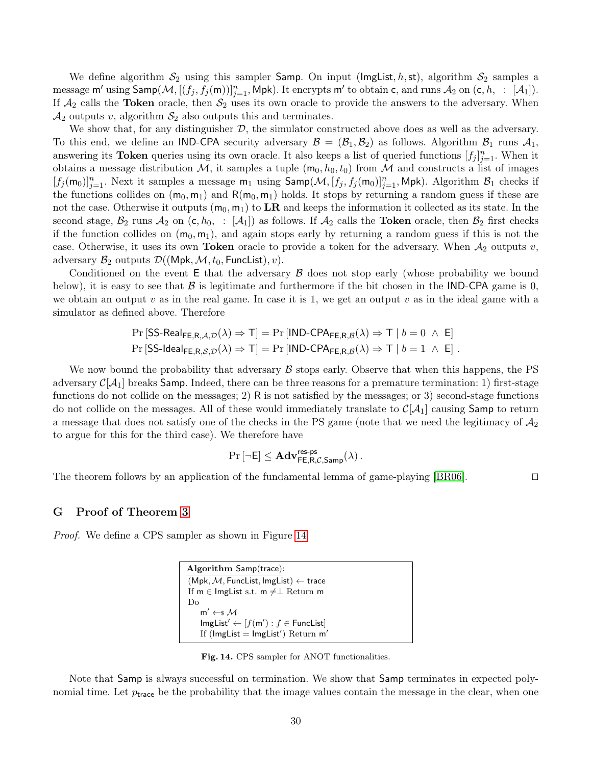<span id="page-29-1"></span>We define algorithm  $S_2$  using this sampler Samp. On input (ImgList, h, st), algorithm  $S_2$  samples a message  $\mathsf{m}'$  using  $\mathsf{Samp}(\mathcal{M},[(f_j,f_j(\mathsf{m}))]_{j=1}^n, \mathsf{Mpk})$ . It encrypts  $\mathsf{m}'$  to obtain  $\mathsf{c},$  and runs  $\mathcal{A}_2$  on  $(\mathsf{c}, h, \; : \; [\mathcal{A}_1]).$ If  $\mathcal{A}_2$  calls the Token oracle, then  $\mathcal{S}_2$  uses its own oracle to provide the answers to the adversary. When  $\mathcal{A}_2$  outputs v, algorithm  $\mathcal{S}_2$  also outputs this and terminates.

We show that, for any distinguisher  $D$ , the simulator constructed above does as well as the adversary. To this end, we define an **IND-CPA** security adversary  $\mathcal{B} = (\mathcal{B}_1, \mathcal{B}_2)$  as follows. Algorithm  $\mathcal{B}_1$  runs  $\mathcal{A}_1$ , answering its **Token** queries using its own oracle. It also keeps a list of queried functions  $[f_j]_{j=1}^n$ . When it obtains a message distribution  $M$ , it samples a tuple  $(m_0, h_0, t_0)$  from M and constructs a list of images  $[f_j(\mathsf{m}_0)]_{j=1}^n$ . Next it samples a message  $\mathsf{m}_1$  using  $\mathsf{Samp}(\mathcal{M}, [f_j, f_j(\mathsf{m}_0)]_{j=1}^n, \mathsf{Mpk})$ . Algorithm  $\mathcal{B}_1$  checks if the functions collides on  $(m_0, m_1)$  and  $R(m_0, m_1)$  holds. It stops by returning a random guess if these are not the case. Otherwise it outputs  $(m_0, m_1)$  to LR and keeps the information it collected as its state. In the second stage,  $\mathcal{B}_2$  runs  $\mathcal{A}_2$  on  $(c, h_0, : [A_1])$  as follows. If  $\mathcal{A}_2$  calls the **Token** oracle, then  $\mathcal{B}_2$  first checks if the function collides on  $(m_0, m_1)$ , and again stops early by returning a random guess if this is not the case. Otherwise, it uses its own **Token** oracle to provide a token for the adversary. When  $A_2$  outputs v, adversary  $\mathcal{B}_2$  outputs  $\mathcal{D}((\mathsf{Mpk},\mathcal{M},t_0,\mathsf{Functist}),v).$ 

Conditioned on the event  $E$  that the adversary  $\beta$  does not stop early (whose probability we bound below), it is easy to see that  $\beta$  is legitimate and furthermore if the bit chosen in the IND-CPA game is 0, we obtain an output  $v$  as in the real game. In case it is 1, we get an output  $v$  as in the ideal game with a simulator as defined above. Therefore

$$
\Pr\left[\text{SS-Real}_{\mathsf{FE}, \mathsf{R}, \mathcal{A}, \mathcal{D}}(\lambda) \Rightarrow \mathsf{T}\right] = \Pr\left[\mathsf{IND}\text{-}\mathsf{CPA}_{\mathsf{FE}, \mathsf{R}, \mathcal{B}}(\lambda) \Rightarrow \mathsf{T} \mid b = 0 \ \land \ \mathsf{E}\right]
$$
\n
$$
\Pr\left[\text{SS-Ideal}_{\mathsf{FE}, \mathsf{R}, \mathcal{S}, \mathcal{D}}(\lambda) \Rightarrow \mathsf{T}\right] = \Pr\left[\mathsf{IND}\text{-}\mathsf{CPA}_{\mathsf{FE}, \mathsf{R}, \mathcal{B}}(\lambda) \Rightarrow \mathsf{T} \mid b = 1 \ \land \ \mathsf{E}\right].
$$

We now bound the probability that adversary  $\beta$  stops early. Observe that when this happens, the PS adversary  $\mathcal{C}[\mathcal{A}_1]$  breaks Samp. Indeed, there can be three reasons for a premature termination: 1) first-stage functions do not collide on the messages; 2) R is not satisfied by the messages; or 3) second-stage functions do not collide on the messages. All of these would immediately translate to  $\mathcal{C}[\mathcal{A}_1]$  causing Samp to return a message that does not satisfy one of the checks in the PS game (note that we need the legitimacy of  $\mathcal{A}_2$ ) to argue for this for the third case). We therefore have

$$
\Pr\left[\neg E\right] \leq \mathbf{Adv}_{\mathsf{FE},R,\mathcal{C},\mathsf{Samp}}^{\mathsf{res-ps}}(\lambda)\,.
$$

The theorem follows by an application of the fundamental lemma of game-playing  $[BR06]$ .

## <span id="page-29-0"></span>G Proof of Theorem [3](#page-17-1)

Proof. We define a CPS sampler as shown in Figure [14.](#page-29-2)

| Algorithm Samp(trace):                          |
|-------------------------------------------------|
| $(Mpk, M, Funclist, Imglist) \leftarrow trace$  |
| If $m \in$ ImgList s.t. $m \neq \perp$ Return m |
| Do                                              |
| $m' \leftarrow s M$                             |
| $Imglist' \leftarrow [f(m'): f \in FunClist]$   |
| If (ImgList = $lmgList'$ ) Return m'            |

<span id="page-29-2"></span>Fig. 14. CPS sampler for ANOT functionalities.

Note that Samp is always successful on termination. We show that Samp terminates in expected polynomial time. Let  $p_{\text{trace}}$  be the probability that the image values contain the message in the clear, when one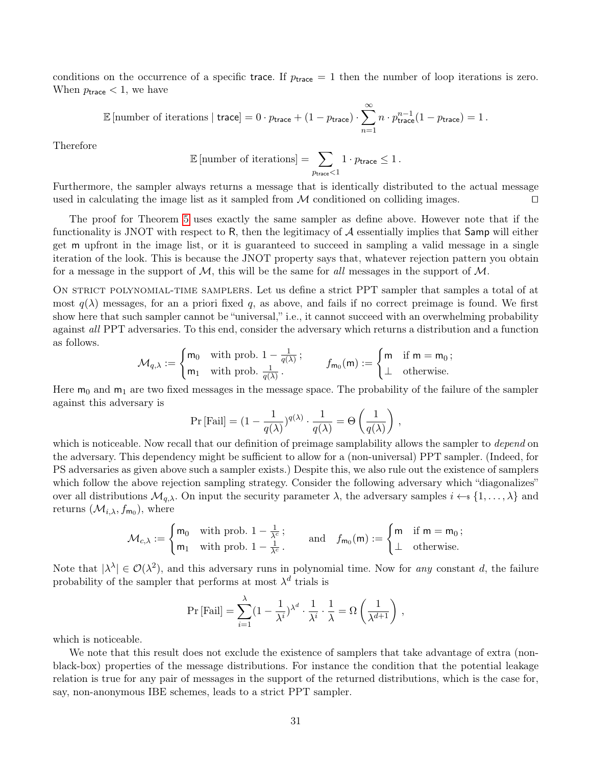conditions on the occurrence of a specific trace. If  $p_{\text{trace}} = 1$  then the number of loop iterations is zero. When  $p_{\text{trace}} < 1$ , we have

$$
\mathbb{E}[\text{number of iterations } | \text{ trace}] = 0 \cdot p_{\text{trace}} + (1 - p_{\text{trace}}) \cdot \sum_{n=1}^{\infty} n \cdot p_{\text{trace}}^{n-1} (1 - p_{\text{trace}}) = 1 \, .
$$

Therefore

$$
\mathbb{E}[\text{number of iterations}] = \sum_{p_{\text{trace}} < 1} 1 \cdot p_{\text{trace}} \leq 1.
$$

Furthermore, the sampler always returns a message that is identically distributed to the actual message used in calculating the image list as it sampled from  $\mathcal M$  conditioned on colliding images.

The proof for Theorem [5](#page-19-2) uses exactly the same sampler as define above. However note that if the functionality is JNOT with respect to R, then the legitimacy of  $A$  essentially implies that Samp will either get m upfront in the image list, or it is guaranteed to succeed in sampling a valid message in a single iteration of the look. This is because the JNOT property says that, whatever rejection pattern you obtain for a message in the support of  $\mathcal{M}$ , this will be the same for all messages in the support of  $\mathcal{M}$ .

On strict polynomial-time samplers. Let us define a strict PPT sampler that samples a total of at most  $q(\lambda)$  messages, for an a priori fixed q, as above, and fails if no correct preimage is found. We first show here that such sampler cannot be "universal," i.e., it cannot succeed with an overwhelming probability against all PPT adversaries. To this end, consider the adversary which returns a distribution and a function as follows.

$$
\mathcal{M}_{q,\lambda}:=\begin{cases} \mathsf{m}_0 & \text{with prob. } 1-\frac{1}{q(\lambda)} \, ; \\ \mathsf{m}_1 & \text{with prob. } \frac{1}{q(\lambda)} \, . \end{cases} \quad f_{\mathsf{m}_0}(\mathsf{m}):=\begin{cases} \mathsf{m} & \text{if $\mathsf{m}=\mathsf{m}_0$}\, ; \\ \bot & \text{otherwise}. \end{cases}
$$

Here  $m_0$  and  $m_1$  are two fixed messages in the message space. The probability of the failure of the sampler against this adversary is

$$
\Pr\left[\text{Fall}\right] = (1 - \frac{1}{q(\lambda)})^{q(\lambda)} \cdot \frac{1}{q(\lambda)} = \Theta\left(\frac{1}{q(\lambda)}\right),\,
$$

which is noticeable. Now recall that our definition of preimage samplability allows the sampler to *depend* on the adversary. This dependency might be sufficient to allow for a (non-universal) PPT sampler. (Indeed, for PS adversaries as given above such a sampler exists.) Despite this, we also rule out the existence of samplers which follow the above rejection sampling strategy. Consider the following adversary which "diagonalizes" over all distributions  $\mathcal{M}_{q,\lambda}$ . On input the security parameter  $\lambda$ , the adversary samples  $i \leftarrow s \{1, \ldots, \lambda\}$  and returns  $(\mathcal{M}_{i,\lambda}, f_{\mathsf{m}_0}),$  where

$$
\mathcal{M}_{c,\lambda} := \begin{cases} \mathsf{m}_0 & \text{with prob. } 1 - \frac{1}{\lambda^c} \, ; \\ \mathsf{m}_1 & \text{with prob. } 1 - \frac{1}{\lambda^c} \, . \end{cases} \quad \text{and} \quad f_{\mathsf{m}_0}(\mathsf{m}) := \begin{cases} \mathsf{m} & \text{if } \mathsf{m} = \mathsf{m}_0 \, ; \\ \bot & \text{otherwise.} \end{cases}
$$

Note that  $|\lambda^{\lambda}| \in \mathcal{O}(\lambda^2)$ , and this adversary runs in polynomial time. Now for any constant d, the failure probability of the sampler that performs at most  $\lambda^d$  trials is

$$
\Pr\left[\text{Fall}\right] = \sum_{i=1}^{\lambda} (1 - \frac{1}{\lambda^i})^{\lambda^d} \cdot \frac{1}{\lambda^i} \cdot \frac{1}{\lambda} = \Omega\left(\frac{1}{\lambda^{d+1}}\right),
$$

which is noticeable.

We note that this result does not exclude the existence of samplers that take advantage of extra (nonblack-box) properties of the message distributions. For instance the condition that the potential leakage relation is true for any pair of messages in the support of the returned distributions, which is the case for, say, non-anonymous IBE schemes, leads to a strict PPT sampler.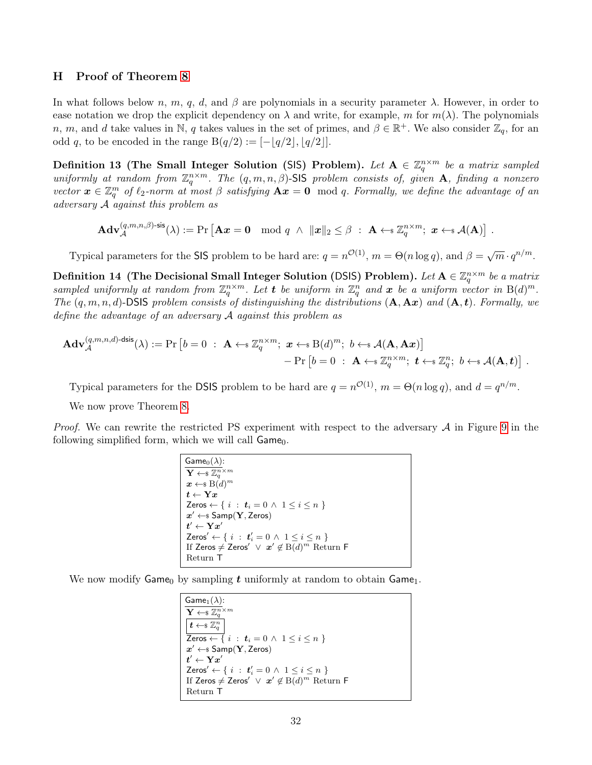#### <span id="page-31-0"></span>H Proof of Theorem [8](#page-22-2)

In what follows below n, m, q, d, and  $\beta$  are polynomials in a security parameter  $\lambda$ . However, in order to ease notation we drop the explicit dependency on  $\lambda$  and write, for example, m for  $m(\lambda)$ . The polynomials n, m, and d take values in N, q takes values in the set of primes, and  $\beta \in \mathbb{R}^+$ . We also consider  $\mathbb{Z}_q$ , for an odd q, to be encoded in the range  $B(q/2) := \lceil -\frac{q}{2}, \frac{q}{2} \rceil$ .

Definition 13 (The Small Integer Solution (SIS) Problem). Let  $A \in \mathbb{Z}_q^{n \times m}$  be a matrix sampled uniformly at random from  $\mathbb{Z}_q^{n \times m}$ . The  $(q, m, n, \beta)$ -SIS problem consists of, given **A**, finding a nonzero vector  $\boldsymbol{x} \in \mathbb{Z}_q^m$  of  $\ell_2$ -norm at most  $\beta$  satisfying  $\mathbf{A}\boldsymbol{x} = \mathbf{0} \mod q$ . Formally, we define the advantage of an adversary  $A$  against this problem as

 $\mathbf{Adv}_{\mathcal{A}}^{(q,m,n,\beta)\text{-sis}}(\lambda) := \Pr\left[\mathbf{A}\boldsymbol{x} = \boldsymbol{0} \mod q \;\land\; \|\boldsymbol{x}\|_2 \leq \beta \;:\; \mathbf{A} \leftarrow_{\$} \mathbb{Z}_q^{n\times m}; \;\boldsymbol{x} \leftarrow_{\$} \mathcal{A}(\mathbf{A})\right]\,.$ 

Typical parameters for the SIS problem to be hard are:  $q = n^{\mathcal{O}(1)}$ ,  $m = \Theta(n \log q)$ , and  $\beta = \sqrt{m} \cdot q^{n/m}$ .

Definition 14 (The Decisional Small Integer Solution (DSIS) Problem). Let  $A \in \mathbb{Z}_q^{n \times m}$  be a matrix sampled uniformly at random from  $\mathbb{Z}_q^{n \times m}$ . Let **t** be uniform in  $\mathbb{Z}_q^n$  and **x** be a uniform vector in  $B(d)^m$ . The  $(q, m, n, d)$ -DSIS problem consists of distinguishing the distributions  $(A, Ax)$  and  $(A, t)$ . Formally, we define the advantage of an adversary A against this problem as

$$
\begin{array}{ll}\text{\bf Adv}^{(q,m,n,d)\text{-dsis}}_{\mathcal A}(\lambda):=\Pr\left[b=0\ :\ \text{$\textbf{A}\leftarrow\!\! \! \! \! \! \! s \, \mathbb{Z}_q^{n\times m};\ \text{$x\leftarrow\!\! \! \! \! \! s$} \, \mathrm{B}(d)^m;\ b\leftarrow\!\! \! \! \! \! s \, \mathcal{A}(\textbf{A},\textbf{A} \boldsymbol{x})\right] \right. \\ & \qquad \qquad \left. -\Pr\left[b=0\ :\ \textbf{A}\leftarrow\!\! \! \! \! \! s \, \mathbb{Z}_q^{n\times m};\ t\leftarrow\!\! \! \! \! s \, \mathbb{Z}_q^n;\ b\leftarrow\!\! \! \! s \, \mathcal{A}(\textbf{A},\textbf{t})\right] \right. .\end{array}
$$

Typical parameters for the DSIS problem to be hard are  $q = n^{\mathcal{O}(1)}$ ,  $m = \Theta(n \log q)$ , and  $d = q^{n/m}$ .

We now prove Theorem [8.](#page-22-2)

*Proof.* We can rewrite the restricted PS experiment with respect to the adversary  $A$  in Figure [9](#page-22-0) in the following simplified form, which we will call  $Game_0$ .

We now modify Game<sub>0</sub> by sampling t uniformly at random to obtain Game<sub>1</sub>.

```
Game<sub>1</sub>(\lambda):
\mathbf{Y} \leftarrows\mathbb{Z}_q^{n \times m}\boldsymbol{t} \leftarrows\mathbb{Z}_q^n\overline{\mathsf{Zeros}\leftarrow\{i : t_i=0\land 1\leq i\leq n\}x' \leftarrow s Samp(Y, \mathsf{Zeros})\boldsymbol{t}' \leftarrow \mathbf{Y} \boldsymbol{x}'\mathsf{Zeros}' \leftarrow \{ i : t_i' = 0 \land 1 \leq i \leq n \}If Zeros \neq Zeros'\;\vee\; \bm{x}' \not\in \mathrm{B}(d)^m \mathrm{Return}\; \bm{\mathsf{F}}Return T
```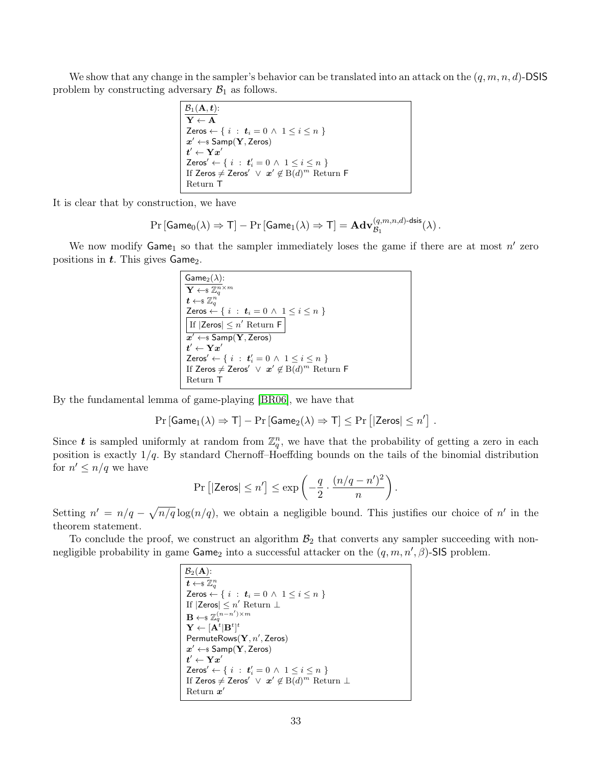<span id="page-32-0"></span>We show that any change in the sampler's behavior can be translated into an attack on the  $(q, m, n, d)$ -DSIS problem by constructing adversary  $\mathcal{B}_1$  as follows.

> $\mathcal{B}_1(\mathbf{A}, \mathbf{t})$ :  $Y \leftarrow A$ Zeros  $\leftarrow \{ i : t_i = 0 \land 1 \le i \le n \}$  $x' \leftarrow s$  Samp $(Y, \mathsf{Zeros})$  $\boldsymbol{t}' \leftarrow \mathbf{Y} \boldsymbol{x}'$  $\mathsf{Zeros}' \leftarrow \{ i : t_i' = 0 \land 1 \leq i \leq n \}$ If Zeros  $\neq$  Zeros $'\;\vee\; \bm{x}' \not\in \mathrm{B}(d)^m$   $\mathrm{Return}\; \bm{\mathsf{F}}$ Return T

It is clear that by construction, we have

$$
\Pr\left[\mathsf{Game}_0(\lambda) \Rightarrow \mathsf{T}\right] - \Pr\left[\mathsf{Game}_1(\lambda) \Rightarrow \mathsf{T}\right] = \mathbf{Adv}_{\mathcal{B}_1}^{(q,m,n,d)\text{-dsis}}(\lambda)\,.
$$

We now modify  $\mathsf{Game}_1$  so that the sampler immediately loses the game if there are at most  $n'$  zero positions in  $t$ . This gives  $Game_2$ .

> $\mathsf{Game}_2(\lambda)$ :  $\overline{\mathbf{Y} \leftarrow}$ s  $\overline{\mathbb{Z}_q^n}^{\times m}$  $\boldsymbol{t} \leftarrow$ s $\mathbb{Z}_q^n$ Zeros  $\leftarrow\Set{i \: : \: \boldsymbol{t}_i = 0 \: \wedge \: 1 \leq i \leq n}$ If  $|{\sf Zeros}|\leq n'$  Return F  $\boldsymbol{x}' \leftarrow$ s Samp $(\mathbf{Y}, \mathsf{Zeros})$  $\boldsymbol{t}' \leftarrow \mathbf{Y} \boldsymbol{x}'$  $\mathsf{Zeros}' \leftarrow \{ i : t_i' = 0 \land 1 \leq i \leq n \}$ If Zeros  $\neq$  Zeros' ∨  $x' \notin B(d)^m$  Return F Return T

By the fundamental lemma of game-playing [\[BR06\]](#page-23-11), we have that

$$
\Pr\left[ \mathsf{Game}_1(\lambda) \Rightarrow \mathsf{T} \right] - \Pr\left[ \mathsf{Game}_2(\lambda) \Rightarrow \mathsf{T} \right] \leq \Pr\left[ |\mathsf{Zeros}| \leq n' \right] \, .
$$

Since **t** is sampled uniformly at random from  $\mathbb{Z}_q^n$ , we have that the probability of getting a zero in each position is exactly  $1/q$ . By standard Chernoff–Hoeffding bounds on the tails of the binomial distribution for  $n' \leq n/q$  we have

$$
\Pr\left[|\mathsf{Zeros}| \leq n'\right] \leq \exp\left(-\frac{q}{2} \cdot \frac{(n/q - n')^2}{n}\right).
$$

Setting  $n' = n/q - \sqrt{n/q} \log(n/q)$ , we obtain a negligible bound. This justifies our choice of n' in the theorem statement.

To conclude the proof, we construct an algorithm  $B_2$  that converts any sampler succeeding with nonnegligible probability in game  $\mathsf{Game}_2$  into a successful attacker on the  $(q, m, n', \beta)$ -SIS problem.

> $B_2(A)$ :  $\overline{\bm{t} \leftarrow}$ s  $\mathbb{Z}_q^n$ Zeros ← {  $i$  :  $t_i = 0 \wedge 1 \leq i \leq n$  } If  $|Zeros| \leq n'$  Return  $\perp$  $\mathbf{B} \leftarrow$ s $\mathbb{Z}_q^{(n-n')} \times m$  $\mathbf{Y} \leftarrow [\mathbf{A}^t]\mathbf{B}^t]^t$ Permute $Rows(Y, n', Zeros)$  $x' \leftarrow s$  Samp $(Y, \mathsf{Zeros})$  $\boldsymbol{t}' \leftarrow \mathbf{Y} \boldsymbol{x}'$  $\mathsf{Zeros}' \leftarrow \{ i : t_i' = 0 \land 1 \leq i \leq n \}$ If Zeros  $\neq$  Zeros $'\;\vee\; \boldsymbol{x}' \not\in \mathrm{B}(d)^{m}$  Return  $\bot$ Return  $x'$